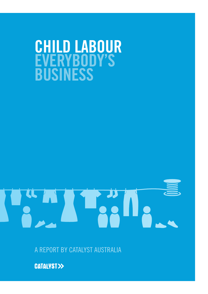# **CHILD LABOUR EVERYBODY'S BUSINESS**

A REPORT BY CATALYST AUSTRALIA

**CATALYST>>**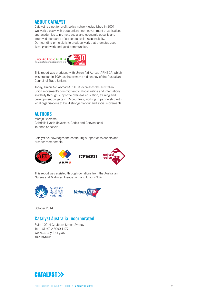#### **ABOUT CATALYST**

Catalyst is a not for profit policy network established in 2007. We work closely with trade unions, non-government organisations and academics to promote social and economic equality and improved standards of corporate social responsibility. Our founding principle is to produce work that promotes good lives, good work and good communities.

Union Aid Abroad APHEDA<br>The overseas humanitarian aid agency of the ACTU 30years of substantly



This report was produced with Union Aid Abroad-APHEDA, which was created in 1984 as the overseas aid agency of the Australian Council of Trade Unions.

Today, Union Aid Abroad-APHEDA expresses the Australian union movement's commitment to global justice and international solidarity through support to overseas education, training and development projects in 16 countries, working in partnership with local organisations to build stronger labour and social movements.

## **AUTHORS**

Martijn Boersma Gabrielle Lynch (Investors, Codes and Conventions) Jo-anne Schofield

Catalyst acknowledges the continuing support of its donors and broader membership:



This report was assisted through donations from the Australian Nurses and Midwifes Association, and UnionsNSW.



October 2014

# **Catalyst Australia Incorporated**

Suite 109, 4 Goulburn Street, Sydney Tel: +61 (0) 2 8090 1177 www.catalyst.org.au @CatalytAus

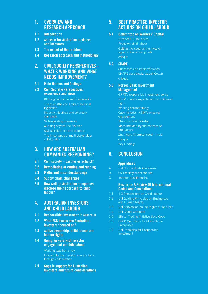### **1. OVERVIEW AND RESEARCH APPROACH**

- **1.1 Introduction**
- **1.2 An issue for Australian business and investors**
- **1.3 The extent of the problem**
- **1.4 Research approach and methodology**

### **2. CIVIL SOCIETY PERSPECTIVES - WHAT'S WORKING AND WHAT NEEDS IMPROVEMENT?**

**2.1 Main themes and findings** 

#### **2.2 Civil Society: Perspectives, experience and views**

Global governance and frameworks The strengths and limits of national legislation Industry initiatives and voluntary standards Self-regulating measures Auditing beyond the first tier Civil society's role and potential The importance of multi-stakeholder collaboration

#### **3. HOW ARE AUSTRALIAN COMPANIES RESPONDING?**

- **3.1 Civil society partner or activist?**
- **3.2 Remediating or cutting and running**
- **3.3 Myths and misunderstandings**
- **3.4 Supply chain challenges**
- **3.5 How well do Australian companies disclose their approach to child labour?**

#### **4. AUSTRALIAN INVESTORS AND CHILD LABOUR**

- **4.1 Responsible investment in Australia**
- **4.2 What ESG issues are Australian investors focused on?**
- **4.3 Active ownership, child labour and human rights**
- **4.4 Going forward with investor engagement on child labour**

Working together is key Use and further develop investor tools through collaboration

**4.5 Gaps in support for Australian investors and future considerations**

## **5. BEST PRACTICE INVESTOR ACTIONS ON CHILD LABOUR**

#### **5.1 Committee on Workers' Capital**

Broader ESG initiatives Focus on child labour Getting the issue on the investor agenda: five action points critique

#### **5.2 SHARE**

Successes and implementation SHARE case study: Uzbek Cotton critique

#### **5.3 Norges Bank Investment Management**

GPFG's responsible investment policy NBIM investor expectations on children's rights Working collaboratively Case histories: NBIM's ongoing engagement The chocolate industry Monsanto and hybrid cottonseed production Zuari Agro Chemical seed – India critique Key Findings

## **6. CONCLUSION**

#### **Appendices**

- A. List of individuals interviewed
- B. Civil society questionnaire
- C. Investor questionnaire

#### **Resource: A Review Of International Codes And Conventions**

- 1.1 ILO Conventions on Child Labour
- 1.2 UN Guiding Principles on Businesses and Human Rights
- 1.3 UN Convention on the Rights of the Child
- 1.4 UN Global Compact
- 1.5 Ethical Trading Initiative Base Code
- 1.6 OECD Guidelines for Multinational **Enterprises**
- 1.7 UN Principles for Responsible Investment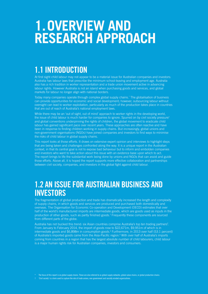# **1.OVERVIEW AND RESEARCH APPROACH**

# **1.1 INTRODUCTION**

At first sight child labour may not appear to be a material issue for Australian companies and investors: Australia has labour laws that prescribe the minimum school-leaving and employment age. Australia also has a rich tradition in worker representation and a trade union movement active in advancing labour rights. However Australia is not an island when purchasing goods and services, and global markets for labour no longer align with national borders.

Today many companies operate through complex global supply chains.\* The globalisation of business can provide opportunities for economic and social development; however, outsourcing labour without oversight can lead to worker exploitation, particularly as much of the production takes place in countries that are out of reach of Australia's national employment laws.

While there may be an 'out of sight, out of mind' approach to worker rights in the developing world, the issue of child labour is much harder for companies to ignore. Spurred on by civil society pressure<sup>†</sup> and global conventions underpinning the rights of children, the global movement to eradicate child labour has gained significant pace over recent years. These approaches are often reactive and have been in response to finding children working in supply chains. But increasingly, global unions and non-government organisations (NGOs) have joined companies and investors to find ways to minimise the risks of child labour in global supply chains.

This report looks at those efforts. It draws on extensive expert opinion and interviews to highlight steps that are being taken and challenges confronted along the way. It is a unique report in the Australian context, in that its central goal is not to expose bad behaviour but to inform and embolden companies and investors who want to take action about this issue with an evidence base upon which to act. The report brings to life the substantial work being done by unions and NGOs that can assist and guide those efforts. Above all, it is hoped the report supports more effective collaboration and partnerships between civil society, companies, and investors in the global fight against child labour.

# **1.2 AN ISSUE FOR AUSTRALIAN BUSINESS AND INVESTORS**

The fragmentation of global production and trade has dramatically increased the length and complexity of supply chains, in which goods and services are produced and purchased both domestically and overseas. The Organisation for Economic Co-operation and Development (OECD) estimates that over half of the world's manufactured imports are intermediate goods, which are goods used as inputs in the production of other goods, such as partly finished goods.<sup>1</sup> Frequently these components are sourced from different parts of the globe.

Australia has not bucked this trend: six Asian countries comprise Australia's top ten trading partners<sup>2</sup>. From January to February 2014, the import of goods rose to \$22,671m, \$9,951m of which is in intermediate goods and \$6,898m in consumption goods.<sup>3</sup> Furthermore, in 2013 over half (53.1 percent) of Australia's imported goods came from the Asia-Pacific region.<sup>4</sup> With over half of Australia's imports coming from countries in a region that has the largest absolute number of child labourers, child labour is a major human rights risk for Australian companies, investors and consumers.

The focus of this report is on global supply chains. These are also referred to as global supply networks, global value chains, or global production chains.

† 'Civil society' is a term used to capture the role of trade unions, non-government and socially minded organisations.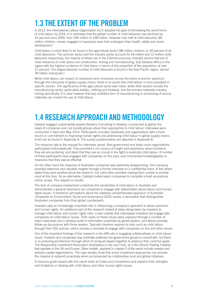# **1.3 THE EXTENT OF THE PROBLEM**

In 2013, the International Labour Organisation (ILO) adopted the goal of eliminating the worst forms of child labour by 2016. It is estimated that the global number of child labourers has declined by 33 percent since 2000, from 246 million to 168 million. However over half of child labourers, 85 million children, remain engaged in hazardous work that endangers their health, safety and moral development.<sup>5</sup>

Child labour is most likely to be found in the agricultural sector (98 million children, or 59 percent of all child labourers). The services sector and the industry sector account for 54 million and 12 million child labourers respectively, the majority of whom are in the informal economy. Industry sectors that are of most relevance to child labour are construction, mining and manufacturing. Sub-Saharan Africa is the region with the highest incidence of child labour in terms of the proportion of the population, at over 21 percent. The largest absolute number of child labourers is found in the Asia-Pacific region: almost 78 million individuals.<sup>6</sup>

While child labour can impact on producers and consumers across the entire economic spectrum through the intricacies of global supply chains, there is no doubt that child labour is more prevalent in specific sectors. The significance of the agricultural sector was noted, while other sectors include the manufacturing sector, particularly textiles, clothing and footwear, and the primary materials industry, mining specifically. It is clear however that any unskilled form of manufacturing or processing of source materials can involve the use of child labour.

# **1.4 RESEARCH APPROACH AND METHODOLOGY**

Catalyst engaged sustainability experts Banarra Consulting to develop a survey tool to gather the views of companies and civil society groups about their approaches to child labour. Interviews were conducted in April and May 2014. Participants included individuals and organisations with a track record or commitment to improving human rights and addressing child labour in global supply chains. A list can be found in Appendix A. The survey questionnaires are attached in Appendix B.

The response rate to the request for interviews varied. Non-government and trade union organisations participated enthusiastically. They provided a rich source of insight and experience about problems they are encountering, and steps that they see as crucial in the fight to eradicate child labour. A number of these participants have engaged with companies on this topic and commented knowledgeably on measures that they saw as effective.

On the other hand the response of Australian companies was extremely disappointing. One company provided extensive and valuable insights through a formal interview on a confidential basis. A few others stated they were positive about the research, but cited other priorities making them unable to provide input at this time. As an alternative, Catalyst invited select companies to complete a brief anonymous online survey. This reaped no results.

The lack of company involvement underlines the sensitivities of child labour in Australia and demonstrates a general reluctance by companies to engage with stakeholders about labour and human rights issues. It reinforces perceptions about the relatively unsophisticated approach of Australian companies on Environment, Social and Governance (ESG) issues, a perception that distinguishes Australian companies from their global counterparts.

Investors play an increasingly important role in influencing a company's approach to labour practices and human rights. An additional part of the research looked at steps being taken by investors to manage child labour and human rights risks. It was notable that interviewed investors did engage with companies on child labour issues. Their views on these issues were captured through a number of select interviews and a desktop audit of information published by global leaders, and where possible, follow-up discussions with those leaders. Typically investors respond to risks such as child labour through their ESG policies, which provide a mandate to engage with companies on this and other issues.

One of the important findings of this research is the difficulty in engaging collaboratively on child labour issues. Investors and companies may nominate preferred non-government groups to consult with, but there is no enduring architecture through which to bring all players together to advance their common goals. The Responsible Investment Association Australasia is one such hub, as is the Ethical Trading Initiative that operates in the UK and Europe. Other models, explored in chapter 5 of the report include investor and workers capital organisations. The case studies show that active investment approaches can provide the impetus to respond proactively when accompanied by collaborative local and global initiatives.

A resource guide issued with this report looks at Codes and Conventions and explains their strengths and limitations in dealing with child labour and other human rights issues.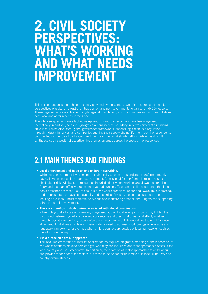# **2. CIVIL SOCIETY PERSPECTIVES: WHAT'S WORKING AND WHAT NEEDS IMPROVEMENT**

This section unpacks the rich commentary provided by those interviewed for this project. It includes the perspectives of global and Australian trade union and non-governmental organisation (NGO) leaders. These organisations are active in the fight against child labour, and the commentary captures initiatives both local and at far reaches of the globe.

The interview questions are attached as Appendix B and the responses have been organised thematically in part 2.2, so as to highlight commonality of views. Many initiatives aimed at eliminating child labour were discussed: global governance frameworks, national legislation, self-regulation through industry initiatives, and companies auditing their supply chains. Furthermore, the respondents commented on the role of civil society and the use of multi-stakeholder efforts. While it is difficult to synthesise such a wealth of expertise, five themes emerged across the spectrum of responses.

# **2.1 MAIN THEMES AND FINDINGS**

#### **• Legal enforcement and trade unions underpin everything.**

While active government involvement through legally enforceable standards is preferred, merely having laws against child labour does not stop it. An essential finding from this research is that child labour risks will be less pronounced in jurisdictions where workers are allowed to organise freely and there are effective, representative trade unions. To be clear, child labour and other labour rights breaches are most likely to occur in areas where organised labour and NGOs are suppressed, underrepresented, or have little capacity and expertise. Any stakeholder that is serious about tackling child labour must therefore be serious about enforcing broader labour rights and supporting a free trade union movement.

#### **• There are significant shortcomings associated with global coordination.**

While noting that efforts are increasingly organised at the global level, participants highlighted the disconnect between globally recognised conventions and their local or national effect, whether through legislative or self-regulatory enforcement mechanisms. This underlines the need for closer alignment of initiatives at all levels. There is also a need to address shortcomings of legislative and regulatory frameworks, for example when child labour occurs outside of legal frameworks, such as in the informal economy.

#### **• Avoid a "one size fits all" approach.**

The local implementation of international standards requires pragmatic mapping of the landscape, to see whose attention stakeholders can get, who they can influence and what approaches best suit the local country and industry context. In particular, the adoption of sector approaches to child labour can provide models for other sectors, but these must be contextualised to suit specific industry and country circumstances.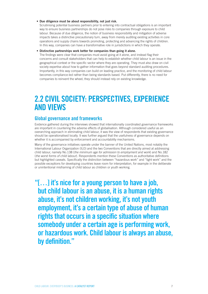#### **• Due diligence must be about responsibility, not just risk.**

Scrutinising potential business partners prior to entering into contractual obligations is an important way to ensure business partnerships do not pose risks to companies through exposure to child labour. Because of due diligence, the notion of business responsibility and mitigation of adverse impacts takes a distinctive precautionary turn, away from merely auditing existing activities in core operations and supply chains towards promoting, protecting and advancing the rights of children. In this way, companies can have a transformative role in jurisdictions in which they operate.

#### **• Distinctive partnerships work better for companies than going it alone.**

The findings were clear that companies must avoid going at it alone, and instead flag their concerns and consult stakeholders that can help to establish whether child labour is an issue in the geographical context or the specific sector where they are operating. They must also draw on civil society expertise about how to gather information that goes beyond standard auditing procedures. Importantly, in this way companies can build on leading practice, and the monitoring of child labour becomes compliance-led rather than being standards based. Put differently, there is no need for companies to reinvent the wheel; they should instead rely on existing knowledge.

# **2.2 CIVIL SOCIETY: PERSPECTIVES, EXPERIENCE AND VIEWS**

#### **Global governance and frameworks**

Evidence gathered during the interviews showed that internationally coordinated governance frameworks are important in countering the adverse effects of globalisation. Although considered useful as an overarching approach in eliminating child labour, it was the view of respondents that existing governance should be operationalised locally. It was further argued that the usefulness of governance depends on whether it is accompanied by enforcement and accountability mechanisms.

Many of the governance initiatives operate under the banner of the United Nations, most notably the International Labour Organization (ILO) and the two Conventions that are directly aimed at addressing child labour, namely No.138 (*the minimum age for admission to employment and work*) and No.182 (*the worst forms of child labour*). Respondents mention these Conventions as authoritative definitions but highlighted caveats. Specifically the distinction between "hazardous work" and "light work" and the possible exceptions for developing countries leave room for interpretation, for example in the deliberate or unintentional misframing of child labour as children or youth working.

**"[…] it's nice for a young person to have a job, but child labour is an abuse, it is a human rights abuse, it's not children working, it's not youth employment, it's a certain type of abuse of human rights that occurs in a specific situation where somebody under a certain age is performing work, or hazardous work. Child labour is always an abuse, by definition."**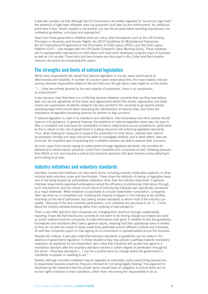It was also pointed out that although the ILO Conventions are widely regarded as "sound but high level", the existence of high-level initiatives does not guarantee local take-up and enforcement. An additional point here is that "what's needed is not another one size fits all prescriptive reporting requirement, but contextual guidelines, principles and approaches".

Apart from these governance initiatives there are many other frameworks such as the UN Guiding Principles on Business and Human Rights, the OECD Guidelines for Multinational Enterprises, the ILO International Programme on the Elimination of Child Labour (IPEC), and the Child Labour Platform (CLP) – now merged with the UN Global Compact's Labor Working Group. These initiatives aim to operationalise approaches to child labour and have been developed using the input of business as well as civil society. These tools and benchmarks are discussed in the *Codes and Benchmarks* resource document accompanying this report.

### **The strengths and limits of national legislation**

While many respondents felt overall that national legislation is crucial, views varied about its effectiveness and reliability. A number of concerns were raised about this, the most notable criticism among interview respondents related to the fact that even though labour laws might be on the books,

" […] they are entirely ignored by the vast majority of businesses, there is no compliance, no enforcement".

It also became clear that there is a conflicting dynamic between countries that say they have labour laws, but yet are signatories of free trade zone agreements where free worker organisation and trade unions are suppressed. Academic research has also pointed to the necessity to go beyond simply assessing legal enforcement when evaluating the effectiveness of national laws, and stress the importance of legislation providing avenues for workers to flag concerns.<sup>7</sup>

If national legislation is clear in its intentions and definitions, then businesses and other parties should draw on it for guidance. In general however, the existence of national legislation alone was not seen to offer a consistent and solid base for remediation of labour malpractices across jurisdictions, particularly as this is reliant on the role of government in putting resources into enforcing legislative standards. Thus, when looking for measures to support the eradication of child labour, national laws need to be assessed critically and steps should be taken to investigate whether, and to what extent, laws are enforced. An important part of assessing this is whether workers are able to express their concerns.

As such, apart from merely relying on enforcement through legislative demands, the incentive for adherence to ethical labour practices comes from industries and companies as well, following pressure from NGOs or not, and requires a critical and proactive approach that goes beyond purely adhering to and trusting local laws.

#### **Industry initiatives and voluntary standards**

Voluntary industry-led initiatives can take many forms, including industry certification systems, or other industry-wide voluntary codes and benchmarks. These share the attribute of having no legislative basis and of not being backed by authoritative institutions other than the industry body itself. In general, interview respondents expressed ambivalence about the efficiency of addressing child labour through such mechanisms, and the closed circuit nature of industry-led initiatives was specifically mentioned as a major downside. While initiatives occasionally do include stakeholder consultation, companies often see them as a competitive tool "enabling the majority of players in the industry to be certified, knocking out the worst performers [by] setting modest standards to which most of the industry can qualify." Because of the lack of worker participation, such initiatives are perceived to be "[…] more about the industry window dressing rather than anything of real substance."

There is also little optimism that companies are changing their practices through sustainability reporting. It was felt that disclosures currently do not seem to be driving change but instead are used as public relations tools for companies to make themselves look good. In addition to this the guidelines, frameworks and standards often have a general nature, meaning that their operational value is limited as they do not take the shape of ready-made tools applicable across different contexts and industries. As well few companies report on how signing on to conventions is operationalised across the business.

Despite this critique, it was also noted that voluntary standards or guidelines can be useful in the absence of government regulation. In these situations they may provide a pathway towards mandatory measures, as explained by one respondent, who noted that industries will usually only agree to a mandatory standard after the voluntary standard reaches a certain degree of penetration throughout the sector: "Voluntary standards […] can be a positive force for change where the government is manifestly incapable or unwilling to act."

Overall, although voluntary initiatives may be regarded as potentially useful overarching approaches to responsible business practices, they are criticised for not being legally binding. This argument is illustrated by the statement that the private sector should have an obligation to ensure there are no human rights violations in their operations, rather than only having the *responsibility* to do so.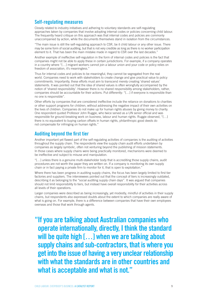### **Self-regulating measures**

Closely related to industry initiatives and adhering to voluntary standards are self-regulating approaches taken by companies that involve adopting internal codes or policies concerning child labour. The frequently heard critique on this approach was that internal codes and policies are commonly unaccompanied by action, while the documents themselves stand in isolation from the circumstances.

"The main issue is still the self-regulating approach to CSR, be it child labour or any other issue. There may be some form of social auditing, but that is not very credible as long as there is no worker participation element to it. That has been the main mistake made in regard to CSR over the last decades."

Another example of ineffective self-regulation in the form of internal codes and policies is the fact that companies might not be able to apply these in certain jurisdictions. For example, if a company operates in a country where "[…] migrant workers cannot join a labour union and your code or policy relies on freedom of association, it's meaningless."

Thus for internal codes and policies to be meaningful, they cannot be segregated from the real world. Companies need to work with stakeholders to create change and give practical value to policy commitments. Importantly, these efforts must aim to transcend merely creating 'shared values' statements. It was pointed out that the idea of shared values is often wrongfully accompanied by the notion of 'shared responsibility'. However there is no shared responsibility among stakeholders, rather, companies should be accountable for their actions. Put differently: "[…] if everyone is responsible than no one is responsible".

Other efforts by companies that are considered ineffective include the reliance on donations to charities or other support programs for children, without addressing the negative impact of their own activities on the lives of children. Companies do not make up for human rights abuses by giving money to charity. One respondent quoted Professor John Ruggie, who twice served as a UN senior official and was responsible for ground-breaking work on business, labour and human rights. Ruggie observed, "[…] there is no equivalent to buying carbon offsets in human rights, philanthropic good deeds do not compensate for infringing on human rights."

#### **Auditing beyond the first tier**

Another important yet flawed part of the self-regulating activities of companies is the auditing of activities throughout the supply chain. The respondents view the supply chain audit efforts undertaken by companies as largely symbolic, often not venturing beyond the publishing of mission statements. In those cases where supply chains were being practically monitored, mechanisms were deemed to be ineffective and subject to misuse and manipulation.

"[…] unless there is a genuine multi-stakeholder body that is accrediting those supply chains, audit procedures are not worth the paper they are written on. If a company is monitoring its own supply chain or in fact paying a private firm to monitor for it, that is open to exploitation."

Where there has been progress in auditing supply chains, the focus has been largely limited to first tier factories and suppliers. The interviewees pointed out that the concept of tiers is increasingly outdated, describing it as belonging to the "social auditing supply chain days". It was argued that companies should not limit responsibility to tiers, but instead have overall responsibility for their activities across all levels of their operations.

Larger companies were described as being increasingly, yet modestly, mindful of activities in their supply chains, but respondents also expressed doubts about the extent to which companies are really aware of what is going on. For example, there is a difference between companies that have their own employees overseas and those that work through agents.

**"If you are talking about Australian companies who operate internationally, directly, I think the standard will be quite high […] when we are talking about supply chains and sub-contractors, that is where you get into the issue of having a very unclear relationship with what the standards are in other countries and what is acceptable and what is not."**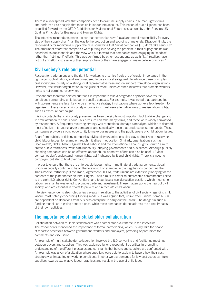There is a widespread view that companies need to examine supply chains in human rights terms and perform a risk analysis that takes child labour into account. This notion of due diligence has been propelled forward by the OECD Guidelines for Multinational Enterprises, as well by John Ruggie's UN Guiding Principles for Business and Human Rights.

The interview respondents made it clear that companies have "legal and moral responsibility for every step of their supply chain", all the way to the production and sourcing of materials. Disappointingly, the responsibility for monitoring supply chains is something that "most companies [...] don't take seriously". The amount of effort that companies were putting into solving the problem in their supply chains was described as questionable and the view was put forward that companies were engaging in "modest" rather than "stringent" efforts. This was confirmed by other respondents as well: "[…] retailers have not put any effort into assuring their supply chain or they have engaged in make believe practices."

#### **Civil society's role and potential**

Respect for trade unions and the right for workers to organise freely are of crucial importance in the fight against child labour, and are considered to be a critical safeguard. To advance these principles, civil society groups rely on a strong local representative base and on support from global organisations. However, free worker organisation in the guise of trade unions or other initiatives that promote workers' rights is not permitted everywhere.

Respondents therefore pointed out that it is important to take a pragmatic approach towards the conditions surrounding child labour in specific contexts. For example, it was noted that partnerships with governments are less likely to be an effective strategy in situations where workers lack freedom to organise. In these cases, civil society organisations must seek alternative ways to realise labour rights, such as exposure campaigns.

It is indisputable that civil society pressure has been the single most important fact to drive change and to draw attention to child labour. This pressure can take many forms, and these were widely canvassed by respondents. A frequently recurring strategy was reputational damage campaigns, which are deemed most effective in targeting larger companies and specifically those that produce consumer goods. These campaigns provide a strong opportunity to make businesses and the public aware of child labour issues.

Apart from publicly criticising companies, civil society organisations also play a direct role in resolving child labour issues, for example through initiatives in education. Similarly, organisations such as GoodWeave<sup>8</sup>, Global March Against Child Labour<sup>9</sup> and the International Labour Rights Forum<sup>10</sup> aim to create public awareness, while simultaneously lobbying governments and businesses. Although publicly shaming companies can be an effective approach, collaborative efforts can also be useful: "Most companies don't understand human rights, get frightened by it and child rights. There is a need to campaign, but also to hold their hand."

In order to ensure that there are enforceable labour rights in multi-lateral trade agreements, global unions especially continue to be on the forefront. For example, in the negotiations concerning the Trans-Pacific Partnership (Free Trade) Agreement (TPPA), trade unions are extensively lobbying for the contents of the joint chapter on labour rights. Their aim is to establish enforceable commitments linked to the eight ILO labour rights Conventions, and to achieve a non-derogation position, which means no labour law shall be weakened to promote trade and investment. These matters go to the heart of civil society, and are essential in efforts to prevent and remediate child labour.

Interview respondents also noted a few caveats in relation to the activities of civil society regarding child labour, most notably concerning funding models. It was argued that, unlike trade unions, some NGOs are dependent on donations from business enterprise to carry out their work. The danger in such a funding model lies in giving donors a pass, while these companies do not address the direct impacts of their own activities.

### **The importance of multi-stakeholder collaboration**

Collaboration between multiple stakeholders was another stand-out theme in the interviews. The respondents mentioned the importance of formal partnerships, which usually take the shape of tripartite processes between government, workers and employers, providing opportunities for comments and discussion.

An example of multi-stakeholder collaboration involved the ILO convening and facilitating meetings between buyers and suppliers. This was explained by one respondent as critical in promoting understanding of the different pressures and constraints that buyers and suppliers are confronted with. An example was given of a situation where suppliers were able to explain to buyers how their cost structure was impacting on working conditions, in other words: demands for low cost goods can turn suppliers towards exploitative labour practices and result in the use of child labour.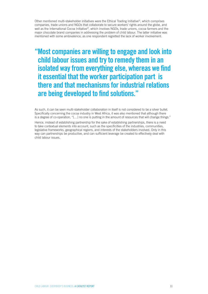Other mentioned multi-stakeholder initiatives were the Ethical Trading Initiative<sup>11</sup>, which comprises companies, trade unions and NGOs that collaborate to secure workers' rights around the globe, and well as the International Cocoa Initiative<sup>12</sup>, which involves NGOs, trade unions, cocoa farmers and the major chocolate brand companies in addressing the problem of child labour. The latter initiative was mentioned with some ambivalence, as one respondent regretted the lack of worker involvement.

**"Most companies are willing to engage and look into child labour issues and try to remedy them in an isolated way from everything else, whereas we find it essential that the worker participation part is there and that mechanisms for industrial relations are being developed to find solutions."**

As such, it can be seen multi-stakeholder collaboration in itself is not considered to be a silver bullet. Specifically concerning the cocoa industry in West Africa, it was also mentioned that although there is a degree of co-operation, "[…] no one is putting in the amount of resources that will change things."

Hence, instead of establishing partnership for the sake of establishing partnerships, there is a need to take contextual elements into account, such as the specificities of the industries, communities, legislative frameworks, geographical regions, and interests of the stakeholders involved. Only in this way can partnerships be productive, and can sufficient leverage be created to effectively deal with child labour issues.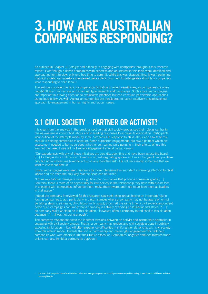# **3.HOW ARE AUSTRALIAN COMPANIES RESPONDING?**

As outlined in Chapter 1, Catalyst had difficulty in engaging with companies throughout this research report.‡ Even though a dozen companies with expertise and an interest in this topic were identified and approached for interview, only one had time to commit. While this was disappointing, it was heartening that civil society and investors interviewed were able to comment knowledgeably about how companies were responding to child labour.

The authors consider the lack of company participation to reflect sensitivities, as companies are often caught off guard in 'naming and shaming' type research and campaigns. Such exposure campaigns are important in drawing attention to exploitative practices but can constrain partnership approaches as outlined below. As well, Australian companies are considered to have a relatively unsophisticated approach to engagement in human rights and labour issues.

# **3.1 CIVIL SOCIETY – PARTNER OR ACTIVIST?**

It is clear from the analysis in the previous section that civil society groups see their role as central in raising awareness about child labour and in leading responses to achieve its eradication. Participants were critical of the attempts made by some companies in response to child labour and saw their role as vital to holding companies to account. Some supported engagement, but saw a point at which an assessment needed to be made about whether companies were genuine in their efforts. Where this was not the case, it was felt civil society engagement should be withdrawn.

"Our experiences with any of these initiatives are very disappointing and have been across the board. [...] As long as it's a child labour closed circuit, self-regulating system and an exchange of best practices only but not on measures taken to act upon any identified risk, it is not necessarily something that we want to invest our time in."

Exposure campaigns were seen uniformly by those interviewed as important in drawing attention to child labour and are often the only way that the issue can be raised.

"I think reputational damage is more significant for companies that produce consumer goods […] I do think there is more of an opportunity for civil society in the relationship they have with businesses, in engaging with companies, influence them, make them aware, and help to position them as leaders in that space."

Indeed the company interviewed for this research saw such exposure as having an important role in forcing companies to act, particularly in circumstances where a company may not be aware of, or not be taking steps to eliminate, child labour in its supply chain. At the same time, a civil society respondent noted such campaigns can imply that a company is actively exploiting child labour and stated, "[…] no company really wants to be in this situation." However, often a company found itself in this situation because it "[…] was not doing enough".

The company respondent noted the inherent tensions between an activist and partnership approach in engaging with civil society groups. That is, a company may understand civil society groups in publicly exposing child labour – but will often experience difficulties in shifting the relationship with civil society from this activist model, towards the sort of partnership and meaningful engagement that will help companies work with others to limit their future exposure. Companies' negative attitudes towards trade unions can also inhibit a partnership approach.

It is noted that 'companies' are referred to in this section as a homogenous group, but in reality companies respond in a variety of ways towards child labour and other human rights risks.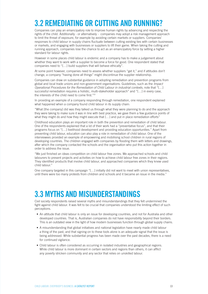# **3.2 REMEDIATING OR CUTTING AND RUNNING?**

Companies can play an emancipatory role to improve human rights by advancing and respecting the rights of the child. Additionally - or alternatively - companies may adopt a risk management approach to limit the threat of exposure, for example by avoiding certain markets or suppliers. Companies' responses to child labour in supply chains fluctuate between cutting existing ties with certain businesses or markets, and engaging with businesses or suppliers to lift their game. When taking the cutting and running approach, companies lose the chance to act as an emancipatory force by setting a higher standard for labour rights.

However in some places child labour is endemic and a company has to make a judgement about whether they want to work with a supplier to become a force for good. One respondent stated that companies need to "[…] build suppliers that will behave ethically".

At some point however, companies need to assess whether suppliers "get it," and if attitudes don't change, a company "having done all things" might discontinue the supplier relationship.

Companies can draw on substantial guidance in adopting remediation and prevention programs from global and local trade unions and non-government organisations. Guidelines, such as the *Impact Operational Procedures for the Remediation of Child Labour in industrial contexts*, note that "[…] successful remediation requires a holistic, multi-stakeholder approach" and "[…] in every case, the interests of the child need to come first."<sup>13</sup>

In providing an example of a company responding through remediation, one respondent explained what happened when a company found child labour in its supply chain:

"What [the company] did was they talked us through what they were planning to do and the approach they were taking to make sure it was in line with best practice, we gave them a few guidance points of what they might do and how they might execute that [...] and put in place remediation efforts"

Childhood education plays an important role in both the prevention and remediation of child labour. One of the respondents explained that a lot of their work had a "preventative focus", and that their programs focus on "[…] livelihood development and providing education opportunities." Apart from preventing child labour, education can also play a role in remediation of child labour. One of the interviewees provided an example of empowering and mobilising school children in rural regions of developing countries. The children engaged with companies by flooding them with letters and drawings, after which the company contacted the schools and the organisation who put this action together in order to address the issue.

"We just finished an ideas competition on child labour free zones. We approached schools and child labourers to present projects and activities on how to achieve child labour free zones in their regions. They identified products that involve child labour, and approached companies which they knew used child labour."

One company targeted in this campaign "[…] initially did not want to meet with union representatives, until there were too many protests from children and schools and it became an issue in the media."

# **3.3 MYTHS AND MISUNDERSTANDINGS**

Civil society respondents raised several myths and misunderstandings that they felt undermined the fight against child labour. It was felt to be crucial that companies understood the limiting effect of such perceptions.

- An attitude that child labour is only an issue for developing countries, and not for Australia and other developed countries. That is, Australian companies do not have responsibility beyond their borders. This is an outdated view in the light of how modern businesses function through global supply chains.
- A misunderstanding that global initiatives and national legislation have nearly made child labour a thing of the past, and that signing-on to these tools alone is an adequate signal that the issue is being addressed. While substantial progress has been made over the past decades, there is a need for continued vigilance.
- Child labour is often considered as occurring in isolated industries and geographical regions. While child labour is more dominant in certain sectors and regions than others, it can afflict any poverty stricken community and any sector that relies on unskilled labour.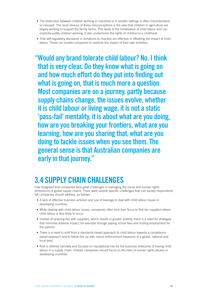- The distinction between children working in industrial or in smaller settings is often misunderstood or misused. The most obvious of these misconceptions is the view that children in agriculture are largely working to support the family farms. This leads to the trivialisation of child labour and can implicitly justify children working. It also undermines the rights of children to a childhood.
- That self-regulatory standards or donations to charities are effective in offsetting the impact of child labour. These can enable companies to overlook the impact of their own activities.

**"Would any brand tolerate child labour? No. I think that is very clear. Do they know what is going on and how much effort do they put into finding out what is going on, that is much more a question. Most companies are on a journey, partly because supply chains change, the issues evolve, whether it is child labour or living wage, it is not a static 'pass-fail' mentality, it is about what are you doing, how are you breaking your frontiers, what are you learning, how are you sharing that, what are you doing to tackle issues when you see them. The general sense is that Australian companies are early in that journey."**

# **3.4 SUPPLY CHAIN CHALLENGES**

Few disagreed that companies face great challenges in managing the social and human rights dimensions of global supply chains. There were several specific challenges that civil society respondents felt companies should address, as follows:

- A lack of effective business activism and use of leverage to deal with child labour issues in developing countries.
- While dealing with child labour issues, companies often limit their focus to first tier suppliers where child labour is less likely to occur.
- Instead of severing ties with suppliers, which results in greater poverty, there is a need for strategies that minimise adverse impact, for example through paying school fees and finding employment for the parents.
- There is a need to shift from a standards-based approach to child labour towards a compliancebased approach and to follow this up with robust enforcement measures at a global, national and local level.
- Risk is defined narrowly and focused on reputational risk for the business enterprise of having child labour in a supply chain. Instead companies should focus on the risks of human rights abuses in developing countries.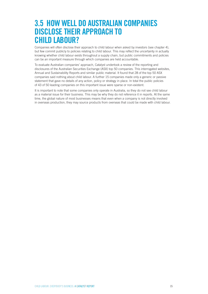# **3.5 HOW WELL DO AUSTRALIAN COMPANIES DISCLOSE THEIR APPROACH TO CHILD LABOUR?**

Companies will often disclose their approach to child labour when asked by investors (see chapter 4), but few commit publicly to policies relating to child labour. This may reflect the uncertainty in actually knowing whether child labour exists throughout a supply chain, but public commitments and policies can be an important measure through which companies are held accountable.

To evaluate Australian companies' approach, Catalyst undertook a review of the reporting and disclosures of the Australian Securities Exchange (ASX) top 50 companies. This interrogated websites, Annual and Sustainability Reports and similar public material. It found that 28 of the top 50 ASX companies said nothing about child labour. A further 15 companies made only a generic or passive statement that gave no details of any action, policy or strategy in place. In total the public policies of 43 of 50 leading companies on this important issue were sparse or non-existent.

It is important to note that some companies only operate in Australia, so they do not see child labour as a material issue for their business. This may be why they do not reference it in reports. At the same time, the global nature of most businesses means that even when a company is not directly involved in overseas production, they may source products from overseas that could be made with child labour.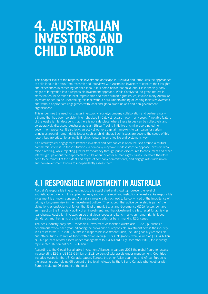# **4. AUSTRALIAN INVESTORS AND CHILD LABOUR**

This chapter looks at the responsible investment landscape in Australia and introduces the approaches to child labour. It draws from research and interviews with Australian investors to capture their insights and experiences in screening for child labour. It is noted below that child labour is in the very early stages of integration into a responsible investment approach. While Catalyst found great interest in steps that could be taken to best improve this and other human rights issues, it found many Australian investors appear to be undertaking this task without a full understanding of leading initiatives overseas, and without appropriate engagement with local and global trade unions and non-government organisations.

This underlines the need for greater investor/civil society/company collaboration and partnerships – a theme that has been persistently emphasised in Catalyst research over many years. A notable feature of the Australian landscape is that there is no 'safe place' where these issues can be collectively and collaboratively discussed. Australia lacks an Ethical Trading Initiative or similar coordinated nongovernment presence. It also lacks an activist workers capital framework to campaign for certain principles around human rights issues such as child labour. Such issues are beyond the scope of this report, but are critical to taking its findings forward in an effective and systematic way.

As a result typical engagement between investors and companies is often focused around a mutual commercial interest. In these situations, a company may take modest steps to appease investors who raise a red flag, while rejecting greater transparency through public disclosures to consumers and other interest groups about their approach to child labour or other human rights issues. Investors therefore need to be mindful of the extent and depth of company commitments, and engage with trade union and non-government bodies to independently assess them.

# **4.1 RESPONSIBLE INVESTMENT IN AUSTRALIA**

Australia's responsible investment industry is established and growing; however the level of sophistication by which it is applied varies greatly across retail and institutional investors. As responsible investment is a known concept, Australian investors do not need to be convinced of the importance of taking a long-term view in their investment outlook. They accept that active ownership is part of their obligations as custodians of funds; that Environment, Social and Governance (ESG) factors do have an impact on the financial viability of an investment, and that divestment is a last resort for achieving real change. Australian investors agree that global codes and benchmarks on human rights, labour standards, and the rights of a child are accepted codes for benchmarking ESG issues.

The peak industry body, the Responsible Investment Association Australasia (RIAA), publishes a benchmark review each year indicating the prevalence of responsible investment across the industry in all of its forms.<sup>14</sup> In 2012, Australian responsible investment funds, including socially responsible and ethical funds, as well as funds with above average<sup>15</sup> ESG integration, were valued at \$135.4 billion or 14.5 percent of total assets under management (\$934 billion).<sup>16</sup> By December 2013, the industry represented 16 percent or \$152 billion.<sup>17</sup>

According to the Global Sustainable Investment Alliance, in January 2013 the global figure for assets incorporating ESG is US\$ 13.6 trillion or 21.8 percent of total assets under management. Countries included Australia, the US, Canada, Japan, Europe, the other Asian countries and Africa. Europe is the largest group, holding 65 percent of the total, followed by the US and Canada who together with Europe make up 96 percent of the total.<sup>18</sup>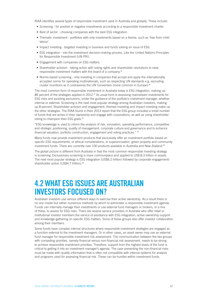RIAA identifies several types of responsible investment used in Australia and globally. These include:

- Screening for positive or negative investments according to a responsible investment charter.
- Best of sector choosing companies with the best ESG integration.
- Thematic investment portfolios with only investments based on a theme, such as 'free from child labour'.
- Impact investing targeted investing in business and funds solving an issue of ESG.
- ESG integration into the investment decision-making process. Like the United Nations Principles for Responsible Investment (UN PRI).
- Engagement with companies on ESG matters.
- Shareholder activism taking action with voting rights and shareholder resolutions to raise responsible investment matters with the board of a company.<sup>19</sup>
- Norms-based screening only investing in companies that accept and apply the internationally accepted norms for operating multinationals, such as respecting UN standards e.g. excluding cluster munitions as it contravenes the UN Convention (more common in Europe).<sup>20</sup>

The most common form of responsible investment in Australia today is ESG integration, making up 89 percent of the strategies applied in 2012.<sup>21</sup> Its usual form is assessing mainstream investments for ESG risks and avoiding exclusions, under the guidance of the portfolio's investment manager, whether internal or external. Screening is the next most popular strategy among Australian investors, making up 8 percent. Shareholder activism and engagement, themed investing and impact investing make up the other strategies. The RIAA found in their 2013 report that the ESG group included a small number of funds that are active in their ownership and engage with corporations, as well as using shareholder voting to champion their ESG goals.<sup>22</sup>

"ESG knowledge is used to inform the analysis of risk, innovation, operating performance, competitive and strategic positioning, quality of management, corporate culture and governance and to enhance financial valuation, portfolio construction, engagement and voting practices." <sup>23</sup>

Many funds now provide investment products that exclusively offer an investment portfolio based on specific ESG requirements, or ethical considerations, in superannuation, green property and community investment funds. There are currently over 100 products available in Australia and New Zealand.<sup>24</sup>

The global picture is different from Australia in that the most common responsible investing strategy is screening. Exclusionary screening is more commonplace and applied to US\$ 8.3 trillion in assets. The next most popular strategy is ESG integration (US\$6.2 trillion) followed by corporate engagement/ shareholder action (US\$4.7 trillion).<sup>25</sup>

# **4.2 WHAT ESG ISSUES ARE AUSTRALIAN INVESTORS FOCUSED ON?**

Australian investors use various different ways to exercise their active ownership. As a result there is no one model but rather numerous methods by which to administer a responsible investment agenda. Funds can internally manage their investments or use external fund managers or brokers, or a mix of these, to assess for ESG risks. There are several service providers in Australia who offer retail or institutional investor members the service of assistance with ESG integration, active ownership support and knowledge-gathering on specific ESG matters. Some of these groups also offer investor collaboration among their members.

Some funds have complex internal structures where responsible investment strategies are engaged as a function external to the investment managers. Or in other cases, an asset owner may use an external fund manager for responsible investment risk assessment. The communication between the two groups with competing priorities, namely financial versus non-financial risk assessment, needs to be strong to achieve responsible investment priorities. Therefore, support from the highest levels of the fund is critical to getting it into an investment manager's agenda. The case presenting the non-financial risks must be made with quality information that is often not compatible with internal systems for analysis and programs used for assessing financial risk. These can be hurdles within investment funds.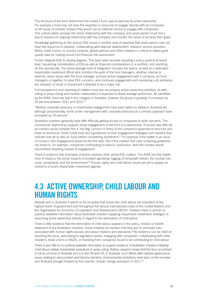The structure of the fund determines the model a fund uses to exercise its active ownership. For example a fund may not have the expertise or resources to engage directly with all companies on all issues of interest. Instead they would use an external service to engage with companies. This unfortunately removes the direct relationship with the company, and asset owners must find a way to develop an ongoing relationship with the company and monitor the issues to achieve their goals.

Knowledge gathering on the various ESG issues is another area of expertise that asset owners may not have the resources to develop. Collaborating with external stakeholders, research service providers, NGOs, trade unions, in-country contacts, global partners and other investors is critical to obtain good quality data for making sound non-financial risk assessment.

Funds integrate ESG to varying degrees. The basic level includes adopting a policy publicly at board level, requesting consideration of ESG as well as financial considerations in a portfolio, and reporting on this periodically. The above average level of integration includes the basics, as well as a dedicated responsible investment officer who monitors the work of the fund managers, whether internal or external, raises issues with the fund manager, pursues active engagement with a company, via fund managers or together, to raise ESG concerns, and continues engagement and monitoring until problems are resolved, or result in divestment if deemed to be a major risk.

Full transparency and reporting of matters must also accompany active ownership activities. As well, voting or proxy voting and investor collaboration is expected of above average performers. As identified by the RIAA, there are few in this category in Australia, however the group is growing: it increased by 33 percent between 2011 and 2012.<sup>26</sup>

"Neither corporate advocacy or shareholder engagement have been taken on widely in Australia yet, although proportionally, funds under management with corporate advocacy as a primary approach have increased by 33 percent."

Australian investors generally have little difficulty getting access to companies to raise concerns. The commercial relationship supports active engagement in the form of a partnership. If access was difficult, an investor would consider this a 'red flag' concern in terms of the company's governance structure and levels of disclosure. Some funds have strict guidelines on their engagement strategies and markers that indicate how far to take an issue before considering divestment.<sup>27</sup> For example if the matter is an issue of conduct, then engagement would be the first step. But if the investor had clear screening guidelines not invest in, for example, companies contributing to tobacco production, then the investor would recommend divesting instead of engagement.

There is evidence that Australian investors address other varied ESG matters. The RIAA lists the health risks of tobacco; the social impacts of problem gambling; logging of old growth forests; the nuclear fuel cycle; armaments; and the environment.<sup>28</sup> Human rights and child labour issues are yet to appear as central to a fund's responsible investment agenda.

# **4.3 ACTIVE OWNERSHIP, CHILD LABOUR AND HUMAN RIGHTS**

Globally and in Australia it seems to be accepted that issues like child labour are important at the highest levels of government and throughout the various international codes of the United Nations and the Organisation for Economic Co-operation and Development (OECD). However there is almost no publicly available information about Australian investors applying responsible investment strategies or exercising active ownership directly in regard to the elimination of child labour.

There is little evidence that the elimination of child labour appears in the policy, mission or beliefs statement of any Australian investors. Some however do mention that they aim to eliminate risks associated with human rights abuses and labour relations and standards.29 No evidence can be cited on reporting the issue, advocating to regulatory bodies, engaging with companies, collaborating with other investors, trade unions or NGOs, or divesting from companies found to be contributing to child labour.

There is also little to no publicly available information to support evidence of Australian investors initiating child labour-related shareholder resolutions or proxy voting. Rather, research shows that this form of activism is not as common in Australia as it is in the UK and US. In Australia, such efforts often address governance issues relating to remuneration and director elections. Environmental resolutions have been on the increase and Australia brought forward its first specific climate change resolution in 2011.<sup>30</sup>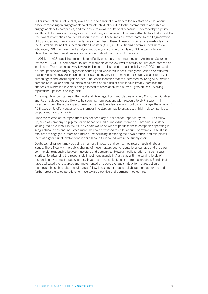Fuller information is not publicly available due to a lack of quality data for investors on child labour, a lack of reporting on engagements to eliminate child labour due to the commercial relationship of engagements with companies, and the desire to avoid reputational exposure. Underdeveloped policy, insufficient disclosure and integration of monitoring and assessing ESG are further factors that inhibit the free flow of information about child labour exposure. These gaps are exacerbated by the fragmentation of ESG issues and the difficulty funds have in prioritising them. These limitations were made clear by the Australian Council of Superannuation Investors (ACSI) in 2012, finding several impediments to integrating ESG into investment analysis, including difficulty in quantifying ESG factors, a lack of clear direction from asset owners and a concern about the quality of ESG data<sup>31</sup>

In 2011, the ACSI published research specifically on supply chain sourcing and Australian Securities Exchange (ASX) 200 companies, to inform members of the low level of activity of Australian companies in this area. The report noted very few Australian companies report on sustainability risk.<sup>32</sup> ACSI produced a further paper examining supply chain sourcing and labour risk in consumer goods, which also reflected their previous findings. Australian companies are doing very little to monitor their supply chains for risk of human rights and labour rights abuses. The report identifies that the increased sourcing by Australian companies in regions and industries considered at high risk of child labour, greatly increases the chances of Australian investors being exposed to association with human rights abuses, involving reputational, political and legal risk.<sup>33</sup>

"The majority of companies in the Food and Beverage, Food and Staples retailing, Consumer Durables and Retail sub-sectors are likely to be sourcing from locations with exposure to LHR issues […] Investors should therefore expect these companies to evidence sound controls to manage these risks."<sup>34</sup> ACSI goes on to offer suggestions to member investors on how to engage with high risk companies to properly manage this risk.<sup>35</sup>

Since the release of the report there has not been any further action reported by the ACSI as followup, such as company engagements on behalf of ACSI or individual members. That said, investors looking into child labour in their supply chain would be wise to prioritise those companies operating in geographical areas and industries more likely to be exposed to child labour. For example in Australia, retailers are engaged in more and more direct sourcing in offering their own brands, and this places them at higher risk of involvement in child labour if it is found within the supply chain.

Doubtless, other work may be going on among investors and companies regarding child labour issues. The difficulty is the public sharing of these matters due to reputational damage and the clear commercial relationship between investors and companies. However, collaboration on such issues is critical to advancing the responsible investment agenda in Australia. With the varying levels of responsible investment strategy among investors there is plenty to learn from each other. Funds that have dedicated the resources and implemented an above-average strategy for risk reduction on matters such as child labour could assist fellow investors, or indeed collaborate for support, to add further pressure to corporations to move towards positive and permanent outcomes.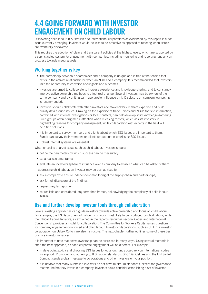# **4.4 GOING FORWARD WITH INVESTOR ENGAGEMENT ON CHILD LABOUR**

Discovering child labour in Australian and international corporations as evidenced by this report is a hot issue currently emerging. Investors would be wise to be proactive as opposed to reacting when issues are eventually discovered.

This requires the adoption of clear and transparent policies at the highest levels, which are supported by a sophisticated system for engagement with companies, including monitoring and reporting regularly on progress towards meeting goals.

## **Working together is key**

- The partnership between a shareholder and a company is unique and is free of the tension that exists in the activist relationship between an NGO and a company. It is recommended that investors take the opportunity to converse about goals and outcomes.
- Investors are urged to collaborate to increase experience and knowledge-sharing, and to constantly improve active ownership methods to effect real change. Several investors may be owners of the same company and by uniting can have greater influence on it. Disclosure on company ownership is recommended.
- Investors should collaborate with other investors and stakeholders to share expertise and build quality data around issues. Drawing on the expertise of trade unions and NGOs for field information, combined with internal investigations or local contacts, can help develop solid knowledge-gathering. Such groups often bring media attention when releasing reports, which assists investors in highlighting reasons for company engagement, while collaboration with experts in the field will help find solutions.
- It is important to survey members and clients about which ESG issues are important to them. Funds can survey their members or clients for support in prioritising ESG issues.
- Robust internal systems are essential.

When choosing a target issue, such as child labour, investors should:

- define the parameters by which success can be measured;
- set a realistic time frame;
- evaluate an investor's sphere of influence over a company to establish what can be asked of them.

In addressing child labour, an investor may be best advised to:

- ask a company to ensure independent monitoring of the supply chain and partnerships;
- ask for full disclosure of the findings;
- request regular reporting;
- set realistic and considered long-term time frames, acknowledging the complexity of child labour issues.

### **Use and further develop investor tools through collaboration**

Several existing approaches can guide investors towards active ownership and focus on child labour. For example, the US Department of Labour lists goods most likely to be produced by child labour, while the Ethical Trading Initiative, as explained in the report's resources section 'Codes and International Conventions', provides a model for collaboration. The Committee for Workers Capital raises questions for company engagement on forced and child labour. Investor collaborations, such as SHARE's investor collaboration on Uzbek Cotton are also instructive. The next chapter further outlines some of these best practice investor initiatives.

It is important to note that active ownership can be exercised in many ways. Using several methods is often the best approach, as each corporate engagement will be different. For example:

- In developing policy and choosing ESG issues to focus on, funds could rely on international codes for support. Promoting and adhering to ILO Labour standards, OECD Guidelines and the UN Global Compact sends a clear message to corporations and other investors on your position.
- It is notable that many Australian investors do not have minimum standards, except for governance matters, before they invest in a company. Investors could consider establishing a set of investor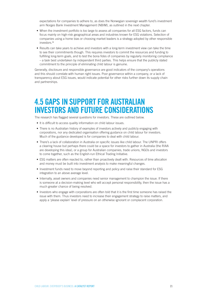expectations for companies to adhere to, as does the Norwegian sovereign wealth fund's investment arm Norges Bank Investment Management (NBIM), as outlined in the next chapter.

- When the investment portfolio is too large to assess all companies for all ESG factors, funds can focus mainly on high-risk geographical areas and industries known for ESG violations. Selection of companies using a home bias or choosing market leaders is a strategy adopted by other responsible investors.<sup>36</sup>
- Results can take years to achieve and investors with a long-term investment view can take the time to see their commitments though. This requires investors to commit the resources and funding to fulfilling long-term goals, and to test the bona fides of companies by regularly monitoring compliance – a task best undertaken by independent third parties. This helps ensure that the publicly stated commitment to the principle of eliminating child labour is genuine.

Generally, disclosure and responsible governance are good indicators of the company's operations and this should correlate with human right issues. Poor governance within a company, or a lack of transparency about ESG issues, would indicate potential for other risks further down its supply chain and partnerships.

# **4.5 GAPS IN SUPPORT FOR AUSTRALIAN INVESTORS AND FUTURE CONSIDERATIONS**

The research has flagged several questions for investors. These are outlined below.

- It is difficult to access quality information on child labour issues.
- There is no Australian history of examples of investors actively and publicly engaging with corporations, nor any dedicated organisation offering guidance on child labour for investors. Much of the guidance developed is for companies to deal with child labour.
- There's a lack of collaboration in Australia on specific issues like child labour. The UNPRI offers a clearing house but perhaps there could be a space for investors to gather in Australia (the RIAA are developing this idea), or a group for Australian companies, trade unions, NGOs and investors to come together, such as the English-run Ethical Trading Initiative.
- ESG matters are often reacted to, rather than proactively dealt with. Resources of time allocation and money must be built into investment analysis to make meaningful changes.
- Investment funds need to move beyond reporting and policy and raise their standard for ESG integration to an above average level.
- Internally, asset owners and companies need senior management to champion the issue. If there is someone at a decision-making level who will accept personal responsibility, then the issue has a much greater chance of being resolved.
- Investors who engage with corporations are often told that it is the first time someone has raised the issue with them. Thus investors need to increase their engagement strategy to raise matters, and apply a 'please explain' level of pressure on an otherwise ignorant or complacent corporation.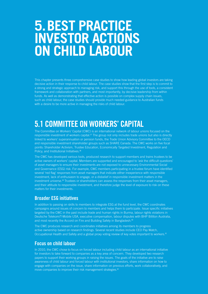# **5.BEST PRACTICE INVESTOR ACTIONS ON CHILD LABOUR**

This chapter presents three comprehensive case studies to show how leading global investors are taking decisive action in their response to child labour. The case studies show that the first step is to commit to a strong and strategic approach to managing risk, and support this through the use of tools, a consistent framework and collaboration with partners, and most importantly, by decisive leadership from within funds. As well as demonstrating that effective action is possible on complex supply chain issues, such as child labour, the case studies should provide much needed guidance to Australian funds with a desire to be more active in managing the risks of child labour.

# **5.1 COMMITTEE ON WORKERS' CAPITAL**

The Committee on Workers' Capital (CWC) is an international network of labour unions focused on the responsible investment of workers capital.<sup>37</sup> The group not only includes trade unions but also is directly linked to workers' superannuation or pension funds, the Trade Union Advisory Committee to the OECD and responsible investment shareholder groups such as SHARE Canada. The CWC works on five focal points: Shareholder Activism, Trustee Education, Economically Targeted Investment, Regulation and Policy, and Institutional Initiatives.<sup>38</sup>

The CWC has developed various tools, produced research to support members and trains trustees to be active owners of workers' capital. Members are supported and encouraged to 'ask the difficult questions' of asset managers to ensure their investments are not exposed to unnecessary Environmental Social and Governance (ESG) risk. For example, CWC members participating in a trustee forum have identified several 'red flag' responses from asset managers that indicate either inexperience with responsible investment, lack of enthusiasm to engage, or a disbelief in responsible investment matters in the investment universe.39 Trustees or shareholders can assess the responses from their asset managers, and their attitude to responsible investment, and therefore judge the level of exposure to risk on these matters for their investments.

### **Broader ESG initiatives**

In addition to passing on skills to members to integrate ESG at the fund level, the CWC coordinates campaigns around issues of concern to members and helps them to participate. Issue specific initiatives targeted by the CWC in the past include trade and human rights in Burma, labour rights violations in Deutsche Telekom/T-Mobile USA, executive compensation, labour disputes with BHP Billiton Australia, and most recently the Accord on Fire and Building Safety in Bangladesh.<sup>40</sup>

The CWC produces research and coordinates initiatives among its members to progress active ownership based on research findings. Several recent studies include CEO Pay Watch, Occupational Health and Safety and a global proxy voting review of key votes important to workers.<sup>41</sup>

### **Focus on child labour**

In 2010, the CWC chose to focus on forced labour including child labour as an international initiative for investors to take forward to companies as a key area of concern. They developed two research papers to support their working groups in raising the issues. The goals of the initiative are to raise awareness of child labour and forced labour with institutional investors, share information on how to engage with companies on the issue, share information on previous efforts, work collaboratively, and move companies to improve their risk management strategies.<sup>42</sup>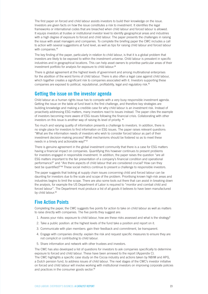The first paper on forced and child labour assists investors to build their knowledge on the issue. Investors are given facts on how the issue constitutes a risk to investment. It identifies the legal frameworks or international codes that are breached when child labour and forced labour is allowed. It equips investors at trustee or institutional investor level to identify geographical areas and industries with a high degree of exposure to forced and child labour. The paper presents the challenges in raising the issue with asset managers and companies. To complete the briefing paper the CWC includes a call to action with several suggestions at fund level, as well as tips for raising child labour and forced labour with companies.<sup>43</sup>

The key finding of the paper, particularly in relation to child labour, is that it is a global problem that investors are likely to be exposed to within the investment universe. Child labour is prevalent in specific industries and in geographical locations. This can help asset owners to prioritise particular areas of their investment portfolio for analysis for exposure to child labour.<sup>44</sup>

There is global agreement at the highest levels of government and among multinational enterprises for the abolition of the worst forms of child labour. There is also often a legal case against child labour, which together creates a significant risk to companies associated with it. Investors supporting these companies are exposed to political, reputational, profitability, legal and regulatory risk.<sup>45</sup>

### **Getting the issue on the investor agenda**

Child labour as a human rights issue has to compete with a very busy responsible investment agenda. Getting the issue on the table at fund level is the first challenge, and therefore key strategies are building knowledge and making a credible case for why child labour is an investment risk. Instead of proactively addressing ESG matters, many investors react to issues instead. The paper cites the example of investors becoming more aware of ESG issues following the financial crisis. Collaborating with other investors on this issue is another way of raising its level of priority. <sup>46</sup>

Too much and varying quality of information presents a challenge to investors. In addition, there is no single place for investors to find information on ESG issues. The paper raises relevant questions: "What are the information needs of investors who wish to consider forced labour as part of their investment decision-making process? What mechanisms should be fostered so as to meet these needs in a timely and actionable way?"<sup>47</sup>

There is genuine agreement in the global investment community that there is a case for ESG matters having a financial impact on companies. Quantifying this however continues to present problems for investors engaged in responsible investment. In addition, the paper raises the question "are all ESG matters important to the fair presentation of a company's financial condition and operational performance?" and "Are there aspects of child labour that are considered crucial? How can they best be quantified?"48 These social metrics continue to present a challenge to responsible investors.

The paper suggests that looking at supply chain issues concerning child and forced labour can be daunting for investors due to the scale and scope of the problem. Prioritising known high-risk areas and industries begins to limit the scope. There are also some tools out there that can assist in breaking down the analysis, for example the US Department of Labor is required to "monitor and combat child and forced labour". The Department must produce a list of all goods it believes to have been manufactured by child labour.<sup>49</sup>

## **Five Action Points**

Completing the paper, the CWC suggests five points for action to take on child labour as well as matters to raise directly with companies. The five points they suggest are:

- 1. Assess your risks: exposure to child labour, how are these risks assessed and what is the strategy?
- 2. Take a public position: at the highest levels of the fund take a position and report on it.
- 3. Communicate with plan members: gain their feedback and commitment, be transparent.
- 4. Engage with companies directly: explain the risk and request specific measures to ensure they are not complicit or contributing to child labour.
- 5. Share information and network with other trustees and investors.

The CWC has also developed a list of questions for investors to ask companies specifically to determine exposure to forced and child labour. These have been annexed to the report (Appendix C). The CWC highlights a specific case study on the Cocoa industry and actions taken by NBIM and APG, a Dutch pension fund, to address issues of child labour. The next stages of the CWC's investor initiative on forced and child labour will involve working with institutional investors on improving corporate policies and practices in the consumer goods sector.<sup>50</sup>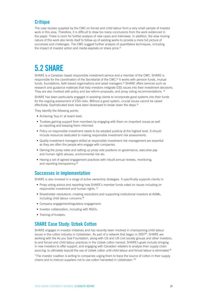### **Critique**

The case studies supplied by the CWC on forced and child labour form a very small sample of investor work in this area. Therefore, it is difficult to draw too many conclusions from the work evidenced in the paper. There is room for further analysis of new cases and interviews. In addition, the slow moving nature of this work also lends itself to follow-up of existing works to provide a more full picture of successes and challenges. The CWC suggest further analysis of quantitative techniques, including the impact of investor action and media exposés on share price.<sup>51</sup>

# **5.2 SHARE**

SHARE is a Canadian based responsible investment service and a member of the CWC. SHARE is responsible for the coordination of the Secretariat of the CWC.52 It works with pension funds, mutual funds, foundations, faith-based organisations and asset managers.<sup>53</sup> SHARE offers services such as research and guidance materials that help investors integrate ESG issues into their investment decisions. They are also involved with policy and law reform proposals, and proxy voting recommendations. 54

SHARE has been particularly engaged in assisting clients to incorporate good systems into their funds for the ongoing assessment of ESG risks. Without a good system, crucial issues cannot be raised effectively. Sophisticated tools have been developed to break down the steps.<sup>55</sup>

They identify the following points:

- Achieving 'buy in' at board level.
- Trustees gaining support from members by engaging with them on important issues as well as reporting and keeping them informed.
- Policy on responsible investment needs to be adopted publicly at the highest level. It should include resources dedicated to making responsible investment risk assessments.
- Quality investment managers skilled at responsible investment risk management are essential as they are often the people who engage with companies.
- Owning the proxy votes and setting up proxy vote positions on governance, executive pay and human rights abuses, environmental risk etc.
- Having a set of agreed engagement practices with inbuilt annual reviews, monitoring, and reporting transparency.<sup>56</sup>

#### **Successes in implementation**

SHARE is also involved in a range of active ownership strategies. It specifically supports clients in:

- Proxy voting advice and reporting how SHARE's member funds voted on issues including on responsible investment and human rights. <sup>57</sup>
- Shareholder resolutions: creating resolutions and supporting institutional investors at AGMs, including child labour concerns.<sup>58</sup>
- Company engagement/regulatory engagement.
- Investor collaboration, including with NGOs.
- Training of trustees.

## **SHARE Case Study: Uzbek Cotton**

SHARE engages in investor initiatives and has recently been involved in championing child labour issues in the cotton industry in Uzbekistan. As part of a network that began in 2007<sup>59</sup>, SHARE are working with the As you Sow Foundation, along with US and UK civil society groups and other investors, to end forced and child labour practices in the Uzbek cotton harvest. SHARE's goals include bringing in new investors to offer support, and engaging with Canadian retailers to analyse their supply chain sourcing, to ultimately boycott the use of Uzbek cotton until child labour and forced labour is eliminated.<sup>60</sup>

"The investor coalition is writing to companies urging them to trace the source of cotton in their supply chains and to instruct suppliers not to use cotton harvested in Uzbekistan."61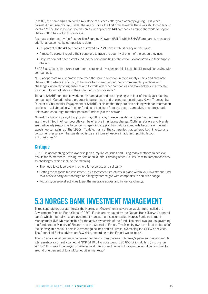In 2013, the campaign achieved a milestone of success after years of campaigning. Last year's harvest did not use children under the age of 15 for the first time, however there was still forced labour involved.<sup>62</sup> The group believe that the pressure applied by 140 companies around the world to boycott Uzbek cotton has led to this success.

A survey performed by the Responsible Sourcing Network (RSN), which SHARE are part of, measured additional outcomes by companies to date:

- 35 percent of the 49 companies surveyed by RSN have a robust policy on the issue.
- Almost 41 percent require their suppliers to trace the country of origin of the cotton they use.
- Only 12 percent have established independent auditing of the cotton spinners/mills in their supply chain.<sup>63</sup>

SHARE advocates that further work for institutional investors on this issue should include engaging with companies to:

"[…] adopt more robust practices to trace the source of cotton in their supply chains and eliminate Uzbek cotton where it is found, to be more transparent about their commitments, practices and challenges when reporting publicly, and to work with other companies and stakeholders to advocate for an end to forced labour in the cotton industry worldwide."

To date, SHARE continue to work on the campaign and are engaging with four of the biggest clothing companies in Canada, where progress is being made and engagement continues. Kevin Thomas, the Director of Shareholder Engagement at SHARE, explains that they are also holding webinar information sessions in collaboration with other funds and speakers from the cotton campaign, to address trade unions and encourage member pension funds to join the network.

"Investor advocacy for a global product boycott is rare; however, as demonstrated in the case of apartheid in South Africa, boycotts can be effective in initiating change. Clothing retailers and brands are particularly responsive to concerns regarding supply chain labour standards because of the antisweatshop campaigns of the 1990s. To date, many of the companies that suffered both investor and consumer pressure on the sweatshop issue are industry leaders in addressing child labour in Uzbekistan."<sup>64</sup>

### **Critique**

SHARE is approaching active ownership on a myriad of issues and using many methods to achieve results for its members. Raising matters of child labour among other ESG issues with corporations has its challenges, which include the following:

- The need to collaborate with others for expertise and solidarity.
- Getting the responsible investment risk assessment structures in place within your investment fund as a basis to carry out thorough and lengthy campaigns with companies to achieve change.
- Focusing on several activities to get the message across and influence change.

# **5.3 NORGES BANK INVESTMENT MANAGEMENT**

Three separate groups administer the Norwegian Government's sovereign wealth fund, called the Government Pension Fund Global (GPFG). Funds are managed by the Norges Bank (Norway's central bank), which internally has an investment management section called Norges Bank Investment Management (NBIM) responsible for the active ownership of the fund. The other two groups governing the fund are the Ministry of Finance and the Council of Ethics. The Ministry owns the fund on behalf of the Norwegian people. It sets investment guidelines and risk limits, overseeing the GPFG's activities. The Council of Ethics advises on ESG risks, according to the Ethical Guidelines.<sup>65</sup>

The GPFG are asset owners who derive their funds from the sale of Norway's petroleum assets and its total assets are currently valued at NOK 5110 billion or around USD 855 billion dollars (first quarter 2014).66 It is one of the largest sovereign wealth funds and pension funds in the world, accounting for around one percent of total global equities markets.<sup>67</sup>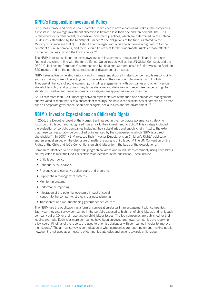## **GPFG's Responsible Investment Policy**

GPFG has a broad and diverse share portfolio. It aims not to have a controlling stake in the companies it invests in. The average investment allocation is between less than one and ten percent. The GPFG is renowned for its transparent, responsible investment practices, which are determined by the 'Ethical Guidelines' established by the Ministry of Finance.<sup>68</sup> The obligations of the fund, as stated by the Ministry of Finance are that "[…] it should be managed with a view to achieving a high return for the benefit of future generations, and there should be respect for the fundamental rights of those affected by the companies in which the Fund invests."<sup>69</sup>

The NBIM is responsible for the active ownership of investments. It measures its financial and nonfinancial decisions in line with the fund's Ethical Guidelines as well as the UN Global Compact, and the OECD Guidelines for Corporate Governance and Multinational Corporations.70 NBIM advises the Bank on ESG matters and on the purchase, reduction or divestment of an asset.

NBIM takes active ownership seriously and is transparent about all matters concerning its responsibility, such as making shareholder voting records available on their website in Norwegian and English. They use all the tools of active ownership, including engagements with companies and other investors, shareholder voting and proposals, regulatory dialogue and dialogues with recognised experts in global standards. Positive and negative screening strategies are applied as well as divestment.

"2013 saw more than 2,300 meetings between representatives of the fund and companies' management, and we voted at more than 9,500 shareholder meetings. We have clear expectations of companies in areas such as corporate governance, shareholder rights, social issues and the environment."<sup>71</sup>

## **NBIM's Investor Expectations on Children's Rights**

In 2006, the Executive board of the Norges Bank agreed in their corporate governance strategy to focus on child labour and recognised it as a risk to their investment portfolio.<sup>72</sup> This strategy included the evaluation of portfolio companies including their subsidiaries and supply chain, "[…] to the extent that these can reasonably be controlled or influenced by the companies in which NBIM is a direct shareholder"<sup>73</sup>. In 2007, NBIM released their 'Investor Expectations on Children's Rights' publication and an annual survey on the disclosure of matters relating to child labour.<sup>74</sup> The UN Convention on the Rights of the Child and ILO's Conventions on child labour form the basis of the expectations.<sup>75</sup>

Companies identified to be in high risk geographical areas and in industries commonly using child labour are requested to meet the fund's expectations as identified in the publication. These include:

- Child labour policy
- Continuous risk analysis
- Preventive and corrective action plans and programs
- Supply chain management systems
- Monitoring systems
- Performance reporting
- Integration of the potential economic impact of social issues into the company's strategic business planning
- Transparent and well-functioning governance structure.<sup>76</sup>

The NBIM use the publication as a form of conversation-starter in an engagement with companies. Each year they also survey companies in the portfolio exposed to high risk of child labour, and rank each company out of 10 for their reporting on child labour issues. The top companies are published for their leading example. Each year more companies have been surveyed and fewer companies are receiving a low score. Findings of the reports are used to prioritise dialogues with companies in order to improve their scores.<sup>77</sup> The annual survey is an indication of what companies are reporting on and making public, however it is not used as a measure of companies' attitudes and actions towards child labour.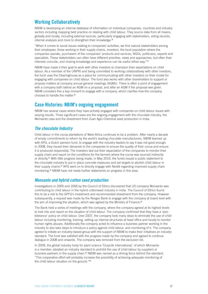### **Working Collaboratively**

NBIM is developing an internal database of information on individual companies, countries and industry sectors including mapping best practice on dealing with child labour. They source data from all means, globally and locally, including external sources, particularly engaging with stakeholders, voting records, internal analyses and more to strengthen their knowledge.<sup>78</sup>

"When it comes to social issues relating to companies' activities, we find natural stakeholders among their employees, those working in their supply chains, investors, the local population where the companies operate, purchasers of the companies' products and services, NGOs, politicians, experts and specialists. These stakeholders can often have different priorities, views and approaches, but often their interests coincide, and sharing knowledge and experience can be useful either way."<sup>79</sup>

NBIM have made it their goal to work with other investors to champion their expectations on child labour. As a member of the UNPRI and being committed to working collaboratively with other investors, the fund uses the Clearinghouse as a place for communicating with other investors on their model for engaging with companies on child labour. The fund also works with other shareholders to support or propose matters at company annual general meetings (AGMs). There is often a point of engagement with a company both before an AGM on a proposal, and after an AGM if the proposal was given. NBIM considers this a key moment to engage with a company, which clarifies how the company chooses to handle the matter.<sup>80</sup>

### **Case Histories: NBIM's ongoing engagement**

NBIM has several cases where they have actively engaged with companies on child labour issues with varying results. Three significant cases are the ongoing engagement with the chocolate industry, the Monsanto case and the divestment from Zuari Agro Chemical seed production in India.

#### *The chocolate Industry*

Child labour in the cocoa plantations of West Africa continues to be a problem. After nearly a decade of empty commitments to reform by the world's leading chocolate manufacturers, NBIM teamed up with APG, a Dutch pension fund, to engage with the industry leaders to say it was not good enough. In 2008, they issued their demands to the companies to ensure the quality of their cocoa and ensure it is produced responsibly. The investors laid out their expectation of the companies to monitor their supply chain and report on the conditions for the farmers where the cocoa was sourced indirectly or directly.<sup>81</sup> With little progress being made, in May 2010, the funds issued a public statement to the chocolate industry to put in place concrete measures and set targets to abolish child labour in their supply chains.82 APG went on to directly engage with Nestlé regarding improved supply chain monitoring.83 NBIM have not made further statements on progress in this area.

#### *Monsanto and hybrid cotton seed production*

Investigations in 2005 and 2006 by the Council of Ethics discovered that US company Monsanto was contributing to child labour in the hybrid cottonseed industry in India. The Council of Ethics found this to be a risk to the GPFG's investment and recommended divestment from the company. However subsequently, a request was made by the Norges Bank to engage with the company at board level with the aim of improving the situation, which was agreed by the Ministry of Finance.<sup>84</sup>

The Bank held a series of meetings with the company, where the company agreed at its highest levels to look into and report on the situation of child labour. The company confirmed that they have a 'zero tolerance' policy on child labour. Over 2007, the company took many steps to eliminate the use of child labour including monitoring, training, setting up internal structures at head office and locally to monitor human rights abuses. Additionally the company acted to influence a business partner working in the industry to also take steps to introduce a policy against child labour, and monitoring of it. The company agreed to initiate an industry-based group with the support of NBIM to make their initiatives an industry standard. The fund was satisfied with the progress made by the company and agreed to continue dialogue in 2008 and onwards. The company was removed from the exclusion list.

In 2009, the global industry body for plant science 'CropLife International,' of which Monsanto is a member, adopted an industry standard to prohibit the use of child labour by suppliers or business partners in the supply chain.<sup>85</sup> NBIM was named as a driving force behind the standard. "This cooperative effort will probably increase the possibility of achieving adequate monitoring of the child labour situation on the ground."86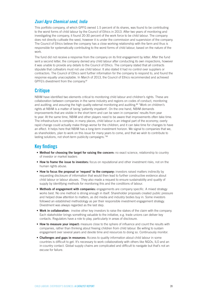#### *Zuari Agro Chemical seed, India*

This portfolio company, of which GPFG owned 1.5 percent of its shares, was found to be contributing to the worst forms of child labour by the Council of Ethics in 2013. After two years of monitoring and investigating the company, it found 20-30 percent of the work force to be child labour. The company does not directly cultivate the seed, however it is under the commission and supervision of the company. The Council of Ethics believe the company has a close working relationship with the farm and thus is responsible for systematically contributing to the worst forms of child labour, based on the nature of the work.

The fund did not receive a response from the company on its first engagement by letter. After the fund sent a second letter, the company denied any child labour after conducting its own inspections, however it was unable to provide any details to the Council of Ethics. The company stated that all contracts stipulate that cultivators must not use child labour. It also stated it had no control over suppliers or contractors. The Council of Ethics sent further information for the company to respond to, and found the response equally unacceptable. In March of 2013, the Council of Ethics recommended and achieved GPFG's divestment from the company.<sup>87</sup>

### **Critique**

NBIM have identified two elements critical to monitoring child labour and children's rights. These are collaboration between companies in the same industry and regions on codes of conduct, monitoring and auditing; and assuring the high quality external monitoring and auditing.<sup>88</sup> "Work on children's rights at NBIM is a matter of being 'patiently impatient'. On the one hand, NBIM demands improvements that are visible in the short term and can be seen in companies' results from year to year. At the same time, NBIM and other players need to be aware that improvements often take time. The infrastructure is complex; in many places, child labour is an integral part of the economy; overly rapid change could actually make things worse for the children; and it can take time for changes to have an effect. It helps here that NBIM has a long-term investment horizon. We signal to companies that we, as shareholders, plan to work on this issue for many years to come, and that we wish to contribute to lasting solutions, not short-term publicity campaigns."<sup>89</sup>

#### **Key findings**

- **• Method for choosing the target for raising the concern:** no exact science, relationship to country of investor or market leaders
- **• How to frame the issue to investors:** focus on reputational and other investment risks, not on the human rights abuse.
- **• How to focus the proposal or 'request' to the company:** investors raised matters indirectly by requesting disclosure of information that would then lead to further constructive evidence about child labour or labour abuses. They also made a request to ensure sustainability and quality of supply by identifying methods for monitoring this and the conditions of labour.
- **• Methods of engagement with companies:** engagements are company specific. A mixed strategy works best. No one method is strong enough in itself. Shareholder proposals created public pressure and helped draw attention to matters, as did media and industry bodies buy in. Some investors followed an established methodology as per their responsible investment engagement strategy. Divestment was always regarded as the last step.
- **• Work in collaboration:** involve other key investors to raise the stakes of the claim with the company. Each stakeholder brings something valuable to the initiative, e.g. trade unions can deliver key contacts. Regulators have a role to play, particularly in areas of disclosure.
- **• How to measure your impact:** measure close to the sphere of influence and count the results with companies, rather than thinking about freeing children from child labour. Be willing to sustain engagement over several years and devote time and resources to doing so. Continuously monitor.
- **• Challenges and gaps in resources:** Access to quality information about child labour in some countries is difficult to get. It's necessary to work collaboratively with others like NGOs, ILO and an in-country contact. Global supply chains are complicated and difficult to navigate but that's not an excuse for failure.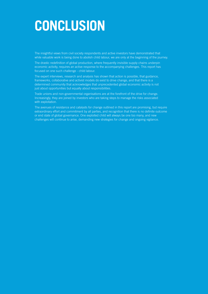# **CONCLUSION**

The insightful views from civil society respondents and active investors have demonstrated that while valuable work is being done to abolish child labour, we are only at the beginning of the journey.

The drastic redefinition of global production, where frequently invisible supply chains underpin economic activity, requires an active response to the accompanying challenges. This report has economic activity, requires an active response to the accompanying challenges. This report has focused on one such challenge - child labour.

The expert interviews, research and analysis has shown that action is possible, that guidance, frameworks, collaborative and activist models do exist to drive change, and that there is a determined community that acknowledges that unprecedented global economic activity is not just about opportunities but equally about responsibilities.

Trade unions and non-governmental organisations are at the forefront of the drive for change. Increasingly, they are joined by investors who are taking steps to manage the risks associated with exploitation.

The avenues of resistance and catalysts for change outlined in this report are promising, but require extraordinary effort and commitment by all parties, and recognition that there is no definite outcome or end state of global governance. One exploited child will always be one too many, and new challenges will continue to arise, demanding new strategies for change and ongoing vigilance.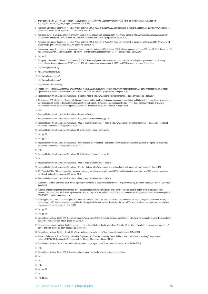- The Organisation for Economic Co-operation and Development (2012). *Mapping Global Value Chains*. OECD: Paris, pp. 4 http://www.oecd.org/dac/aft/ MappingGlobalValueChas\_web\_usb.pdf [accessed 6 June 2014].
- Australian Government Department of Foreign Affairs and Trade (2013) *Trade at a glance* 2013. Commonwealth of Australia: Canberra, pp.18 https://www.dfat.gov.au/ publications/trade/trade-at-a-glance-2013/ [accessed 6 June 2014].
- 3 Australian Bureau of Statistics (2014) *International Trade in Goods and Services*. Commonwealth of Australia: Canberra. http://www.ausstats.abs.gov.au/ausstats. meisubs.nsf/0/E8E1E37B917DDCE8CA257CAE000EE264/\$File/53680\_feb%202014.pdf [accessed 6 June 2014].
- Australian Government Department of Foreign Affairs and Trade (2013) *Summary of Australia's Trade*. Commonwealth of Australia: Canberra, pp.4 http://www.catalyst. org.au/images/pdf/australia\_trade\_1402.pdf [accessed 6 June 2014].
- International Labour Organisation International Programme on the Elimination of Child Labour (2013). *Making progress against child labour*. ILO IPEC: Geneva, pp. VIII. http://www.ilo.org/wcmsp5/groups/public/---ed\_norm/---ipec/documents/publication/wcms\_221513.pdf [accessed 6 June 2014].

- Donaghey, J., Reinecke, J., Niforou, C., and Lawson, B. (2013). From employment relations to consumption relations: balancing labor governance in global supply chains. *Human Resource Management* 53(2), pp. 229-252 http://onlinelibrary.wiley.com/doi/10.1002/hrm.21552/abstract [accessed 6 June 2014].
- http://www.goodweave.org
- http://www.globalmarch.org
- http://www.laborrights.org/
- http://www.ethicaltrade.org/
- http://www.cocoainitiative.org/
- Impactt (2008) *Operational Procedures for Remediation of Child Labour in Industrial Contexts* http://www.impacttlimited.com/wp-content/uploads/2012/01/Impactt\_ Operational-Procedures-for-Remediation-of-Child-Labour-in-Industrial-contexts1.pdf [accessed 18 August 2014].
- Responsible Investment Association Australasia Research -Website http://www.responsibleinvestment.org/riaa-research/ [accessed 1 June 2014
- Above average ESG integration is demonstrated in portfolio construction, implementation and management, monitoring, and being well progressed in active ownership with companies as well as participating in collective initiatives. Responsible Investment Association Australasia (2013) Benchmark Review Report http://www. responsibleinvestment.org/wp-content/uploads/2013/07/2013-Benchmark-Report.pdf [accessed 18 August 2014]
- Ibid.
- Responsible Investment Association Australasia Research Website
- Responsible Investment Association Australasia (2013) *Benchmark Review Report*, pp. 24.
- Responsible Investment Association Australasia What is responsible investment Website http://www.responsibleinvestment.org/what-is-responsible-investment/ responsible-investment-defined/ [accessed 1 June 2014]
- Responsible Investment Association Australasia (2013) Benchmark Review Report, pp. 9.
- Ibid. pp. 10.
- Ibid. pp. 21.
- Responsible Investment Association Australasia What is responsible investment Website http://www.responsibleinvestment.org/what-is-responsible-investment/ responsible-investment-defined/ [accessed 1 June 2014]
- Ibid.
- Responsible Investment Association Australasia (2013) Benchmark Review Report, pp. 21.

Ibid.

- Responsible Investment Association Australasia What is responsible investment Website
- Responsible Investment Association Australasia Charter Website http://www.responsibleinvestment.org/about-us/riaa-charter/ [accessed 1 June 2014]
- AMP Capital (2012). *ESG and responsible investment philosophy* http://www.ampcapital.com/AMPCapitalGlobal/media/contents/Articles/ESG/esg-and-responsibleinvestment-philosophy.pdf [Accessed 18 August 2014]
- Responsible Investment Association Australasia What is responsible investment Website
- ACSI letter to UNPRI 6 September 2012 "UNPRI reporting framework2012- supplementary information" http://www.acsi.org.au/section-heading/un-pri.html [accessed 1 June 2014]
- ACSI is a large service provider of RI services. It has 38 superannuation fund members and offers services such as research on ESG matters, active ownership representation, voting alert service and regulatory advocacy. ACSI reports to the UNPRI on behalf of signatory members. ACSI Supply chain labour and human rights 2011 S&P/ASX200 and global company policies
- ACSI Supply chain labour and human rights 2013 investment risks in S&P/ASX200 consumer discretionary and consumer staples companies. http://www.acsi.org.au/ research-reports-2/1004-labour-and-human-rights-risks-in-supply-chain-sourcing-investment-risks-in-sapasx200-consumer-discretionary-and-consumer-staplescompanies-public.html [accessed 1 June 2014]
- Ibid. pp. 21.
- Ibid. pp. 35.
- Committee on Workers' Capital (2010). *Investing in decent work: Case studies for investor action on forced labour*. http://www.workerscapital.org/priorities/shareholderactivism/campaigns/forced-labour/ [accessed 1 June 2014]
- For more information on Workers' Capital groups or the Committee on Workers' Capital see Catalyst Australia (2013). What is Wealth for? http://www.catalyst.org.au/ campaigns/what-is-wealth-report [accessed 18 August 2014]
- Committee on Workers' Capital Website http://www.workerscapital.org/priorities/shareholder-activism/ [accessed 4 May 2014]
- American Federation of State, County and Municipal Employees (2012) Trustee Leadership Forum, 30 May June 1. http://hausercenter.org/iri/wp-content/ uploads/2012/05/TLF-Questions-for-Managers-and-Red-Flags.pdf [accessed 18 August 2014]
- Committee on Workers' Capital Website http://www.workerscapital.org/priorities/shareholder-activism/ [accessed 24 May 2014]
- Ibid.
- Committee on Workers' Capital (2010). Investing in Decent work: The case for Investor action on forced labour.
- Ibid.
- Ibid.
- Ibid.
- Ibid. pp. 12.
- Ibid.
- Ibid. pp. 13.

Ibid. pp. 5.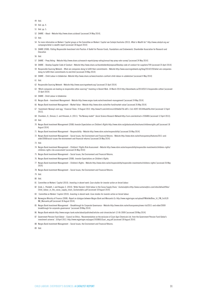- Ibid.
- Ibid. pp. 4.
- Ibid. pp. 5.
- SHARE About Website http://www.share.ca/about/ [accessed 24 May 2014].
- Ibid.
- For more information on Workers' Capital groups or the Committee on Workers' Capital see Catalyst Australia (2013). *What is Wealth for?* http://www.catalyst.org.au/ campaigns/what-is-wealth-report [accessed 18 August 2014]
- SHARE (2008). *Putting Responsible Investment into Practice: A Toolkit for Pension Funds, Foundations and Endowments.* Shareholder Association for Research and Education
- Ibid.
- SHARE Proxy Voting Website http://www.share.ca/research-reports/proxy-voting/annual-key-proxy-vote-survey/ [accessed 24 May 2014]
- SHARE Develop Supplier Code of Conduct Website http://www.share.ca/shareholderdb/proposal/Develop-code-of-conduct-for-suppliers/709 [accessed 25 April 2014]
- Responsible Sourcing Network What are companies doing to fulfill their commitments Website http://www.sourcingnetwork.org/blog/2014/2/20/what-are-companiesdoing-to-fulfill-their-commitments-to-end.html [accessed 24 May 2014]
- SHARE Child Labour in Uzbekistan -Website http://www.share.ca/news/investors-confront-child-labour-in-uzbekistan/ [accessed 4 May 2014]

Ibid.

- Responsible Sourcing Network Website http://www.sourcingnetwork.org/ [accessed 25 April 2014]
- 'Which companies are leading on responsible cotton sourcing?' Investing in Decent Work. 14 March 2014 http://decentwork.ca/2014/03/11/responsible-cotton/ [accessed 25 April 2014]
- SHARE Child Labour in Uzbekistan
- Norges Bank Investment Management Website http://www.norges-bank.no/en/investment-management/ [accessed 24 May 2014]
- Norges Bank Investment Management Market Value Website http://www.nbim.no/en/the-fund/market-value/ [accessed 26 May 2014]
- 'Investment: Norway's nest egg,' *Financial Times*. 19 August 2012. http://www.ft.com/intl/cms/s/0/b6e0e756-e87c-11e1-8397-00144feab49a.html [accessed 12 April 2013].
- Chambers, D., Dimson, E. and Illmanen, A. (2011). 'The Norway model?' *Social Science Research Network* http://ssrn.com/abstract=1936806 [accessed 12 April 2013].

Ibid.

- Norges Bank Investment Management (2008) *Investor Expectations on Children's Rights* http://www.nbim.no/globalassets/brochures/childrensrights.pdf [accessed 18 August 2014]
- Norges Bank Investment Management Responsibility Website http://www.nbim.no/en/responsibility/ [accessed 26 May 2014]
- Norges Bank Investment Management Social Issues, the Environment and Financial Returns Website http://www.nbim.no/en/transparency/features/2011-andolder/2008/social-issues-the-environment-and-financial-returns/ [accessed 26 May 2014]

Ibid.

- Norges Bank Investment Management Children's' Rights Risk Assessment Website http://www.nbim.no/en/responsibility/responsible-investments/childrens-rights/ childrens-rights-risk-assessment/ [accessed 26 May 2014]
- Norges Bank Investment Management Social Issues, the Environment and Financial Returns.
- Norges Bank Investment Management (2008). *Investor Expectations on Children's Rights*.
- Norges Bank Investment Management Children's Rights Website http://www.nbim.no/en/responsibility/responsible-investments/childrens-rights/ [accessed 26 May 2014]
- Norges Bank Investment Management Social Issues, the Environment and Financial Returns.
- Ibid.
- Ibid.
- Committee on Workers' Capital (2010). *Investing in decent work: Case studies for investor action on forced labour*.
- Griek, L., Penikett, J. and Hougee, E. (2010). 'Bitter Harvest: Child labour in the Cocoa Supply Chain,' *Sustainalytics*.http://www.sustainalytics.com/sites/default/files/ Child\_labour\_in\_the\_cocoa\_supply\_chain\_Sustainalytics.pdf [accessed 18 August 2014]
- 83 Committee on Workers' Capital (2010). *Investing in decent work: Case studies for investor action on forced labour*.
- 84 Norwegian Ministry of Finance (2008). *Report on dialogue between Norges Bank and Monsanto Co.* http://www.regjeringen.no/upload/FIN/etikk/Brev\_til\_FIN\_fra%20 NB\_Monsanto.pdf [accessed 18 August 2014].
- Norges Bank Investment Management Breakthrough for Corporate Governance Website http://www.nbim.no/en/transparency/news-list/2011-and-older/2009/ breakthrough-for-corporate-governance/ [accessed 28 May 2014]
- Norges Bank website http://www.norges-bank.no/en/about/published/articles-and-chronicles/art-12-06-2009/ [accessed 28 May 2014]
- Government Pension Fund Global Council on Ethics. 'Recommendation on the exclusion of Zuari Agro Chemicals Ltd. from the Government Pension Fund Global's investment universe'. 18 April 2013. http://www.regjeringen.no/pages/1930865/Zuari\_eng.pdf [accessed 18 August 2014]
- Norges Bank Investment Management Social Issues, the Environment and Financial Returns.
- Ibid.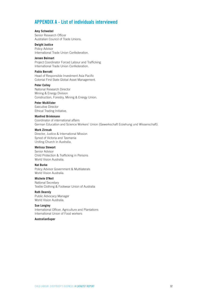### **APPENDIX A - List of individuals interviewed**

#### **Amy Schwebel**

Senior Research Officer Australian Council of Trade Unions.

#### **Dwight Justice**

Policy Advisor International Trade Union Confederation.

#### **Jeroen Beirnart**

Project Coordinator Forced Labour and Trafficking International Trade Union Confederation.

#### **Pablo Berrutti**

Head of Responsible Investment Asia Pacific Colonial First State Global Asset Management.

#### **Peter Colley**

National Research Director Mining & Energy Division Construction, Forestry, Mining & Energy Union.

#### **Peter McAllister**

Executive Director Ethical Trading Initiative.

#### **Manfred Brinkmann**

Coordinator of international affairs German Education and Science Workers' Union (Gewerkschaft Erziehung und Wissenschaft).

#### **Mark Zirnsak**

Director, Justice & International Mission Synod of Victoria and Tasmania Uniting Church in Australia.

#### **Melissa Stewart**

Senior Advisor Child Protection & Trafficking in Persons World Vision Australia.

#### **Nat Burke**

Policy Advisor Government & Multilaterals World Vision Australia.

#### **Michele O'Neil**

National Secretary Textile Clothing & Footwear Union of Australia

#### **Ruth Dearnly**

Public Advocacy Manager World Vision Australia.

#### **Sue Longley**

International Officer, Agriculture and Plantations International Union of Food workers

#### **AustralianSuper**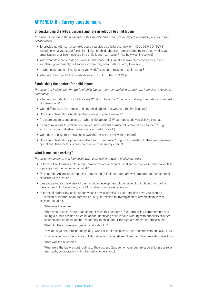### **APPENDIX B - Survey questionnaire**

#### **Understanding the NGO's purpose and role in relation to child labour**

*Purpose: Understand the areas where this specific NGO can provide expertise/insights, also for future collaboration*

- To provide us with some context, could you give us a brief overview of [INCLUDE NGO NAME] including what you stand for/do in relation to child labour or human rights more broadly? Has your organisation ever been involved in a child labour campaign? If so how was it received?
- With what stakeholders do you work in this space? (E.g. Australian/overseas companies, their suppliers, government, civil society, community organisations, etc.) How so?
- In what geographical locations do you work/focus on in relation to child labour?
- What are your role and responsibilities at [INCLUDE NGO NAME]?

#### **Establishing the context for child labour**

*Purpose: Get insight into 'the world of child labour', common definitions, and how it applies to Australian companies* 

- What is your definition of child labour? What is it based on? (I.e. which, if any, international standard or conventions)
- What differences are there in defining child labour and what are the implications?
- How does child labour relate to child work and young workers?
- Are there any misconceptions on what child labour is? What impacts do you believe this has?
- If you think about Australian companies, how relevant or material is child labour to them? (E.g. which particular industries or sectors are most exposed?)
- What do you base this decision on (whether or not it is relevant to them)?
- How does child labour potentially affect such companies? (E.g. is it in relation to their own overseas operations, their local business partners or their supply chain?)

#### **What is and isn't working?**

*Purpose: Understand, at a high level, what goes well and where challenges exist*

- In terms of addressing child labour, how active are relevant Australian companies in this space? Is it topical/part of the conversation at all?
- Do you think Australian companies understand child labour and are well prepared to manage their exposure to the issue?
- Can you provide an overview of the historical development of the issue of child labour to now? Is there a trend of it becoming part of Australian companies' agenda's?
- In terms of addressing child labour, what if any, examples of good practice have you seen by (Australian or international) companies? (E.g. in relation to investigation or remediation) Please explain, including:

What was the issue?

What area of child labour management does this concern? (E.g. formalising commitments and taking a public position on child labour, identifying child labour, working with suppliers or other stakeholders on child labour, responding to child labour through a remediation process, etc.)

What did the company/organisation do about it?

How did it go about responding? (E.g. was it a public response, a partnership with an NGO, etc.)

To what extent did this involve collaboration with other stakeholders, and how important was this?

What was the outcome?

What were the factors contributing to the success (E.g. senior-level buy-in/leadership, grass roots approach, collaboration with other stakeholders, etc.)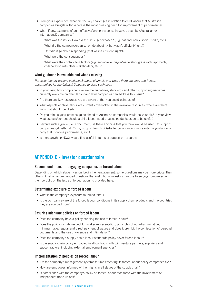- From your experience, what are the key challenges in relation to child labour that Australian companies struggle with? Where is the most pressing need for improvement of performance?`
- What, if any, examples of an ineffective/'wrong' response have you seen by (Australian or international) companies?

What was the issue? How did the issue get exposed? (E.g. national news, social media, etc.)

What did the company/organisation do about it (that wasn't efficient/'right')?

*How* did it go about responding (that wasn't efficient/'right')?

What were the consequences?

What were the contributing factors (e.g. senior-level buy-in/leadership, grass roots approach, collaboration with other stakeholders, etc.)?

#### **What guidance is available and what's missing**

*Purpose: Identify existing guidance/support channels and where there are gaps and hence, opportunities for the Catalyst Guidance to close such gaps*

- In your view, how comprehensive are the guidelines, standards and other supporting resources currently available on child labour and how companies can address this issue?
- Are there any key resources you are aware of that you could point us to?
- What aspects of child labour are currently overlooked in the available resources, where are there gaps that should be filled?
- Do you think a good practice guide aimed at Australian companies would be valuable? In your view, what aspects/content should a child labour good practice guide focus on to be useful?
- Beyond such a guide (i.e. a document), is there anything that you think would be useful to support companies get better at it? (E.g. support from NGOs/better collaboration; more external guidance; a body that monitors performance, etc.)
- Is there anything NGOs would find useful in terms of support or resources?

### **APPENDIX C - Investor questionnaire**

#### **Recommendations for engaging companies on forced labour**

Depending on which stage investors begin their engagement, some questions may be more critical than others. A set of recommended questions that institutional investors can use to engage companies in their portfolio on the issue of forced labour is provided here.

#### **Determining exposure to forced labour**

- What is the company's exposure to forced labour?
- Is the company aware of the forced labour conditions in its supply chain products and the countries they are sourced from?

#### **Ensuring adequate policies on forced labour**

- Does the company have a policy banning the use of forced labour?
- Does the policy include respect for worker representation, principles of non-discrimination, minimum age, regular and direct payment of wages and does it prohibit the confiscation of personal documents and the use of violence and intimidation?
- Does the company's supply chain labour standards policy cover forced labour?
- Is the supply chain policy embodied in all contracts with joint venture partners, suppliers and subcontractors, including external employment agencies?

#### **Implementation of policies on forced labour**

- Are the company's management systems for implementing its forced labour policy comprehensive?
- How are employees informed of their rights in all stages of the supply chain?
- Is compliance with the company's policy on forced labour monitored with the involvement of independent trade unions?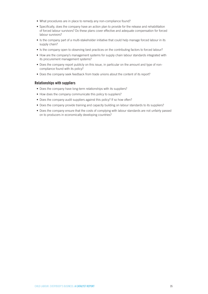- What procedures are in place to remedy any non-compliance found?
- Specifically, does the company have an action plan to provide for the release and rehabilitation of forced labour survivors? Do these plans cover effective and adequate compensation for forced labour survivors?
- Is the company part of a multi-stakeholder initiative that could help manage forced labour in its supply chain?
- Is the company open to observing best practices on the contributing factors to forced labour?
- How are the company's management systems for supply chain labour standards integrated with its procurement management systems?
- Does the company report publicly on this issue, in particular on the amount and type of noncompliance found with its policy?
- Does the company seek feedback from trade unions about the content of its report?

#### **Relationships with suppliers**

- Does the company have long-term relationships with its suppliers?
- How does the company communicate this policy to suppliers?
- Does the company audit suppliers against this policy? If so how often?
- Does the company provide training and capacity building on labour standards to its suppliers?
- Does the company ensure that the costs of complying with labour standards are not unfairly passed on to producers in economically developing countries?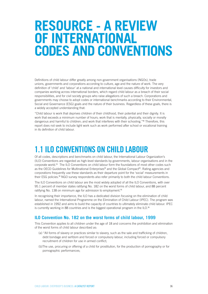# **RESOURCE - A REVIEW OF INTERNATIONAL CODES AND CONVENTIONS**

Definitions of child labour differ greatly among non-government organisations (NGOs), trade unions, governments and corporations according to culture, age and the nature of work. The very definition of 'child' and 'labour' at a national and international level causes difficulty for investors and companies working across international borders, which regard child labour as a breach of their social responsibilities, and for civil society groups who raise allegations of such a breach. Corporations and governments may choose to adopt codes or international benchmarks according to their Environmental, Social and Governance (ESG) goals and the nature of their business. Regardless of these goals, there is a widely accepted understanding that:

"Child labour is work that deprives children of their childhood, their potential and their dignity. It is work that exceeds a minimum number of hours; work that is mentally, physically, socially or morally dangerous and harmful to children; and work that interferes with their schooling."90 Therefore, this report does not seek to include light work such as work performed after school or vocational training in its definition of child labour.

# **1.1 ILO CONVENTIONS ON CHILD LABOUR**

Of all codes, descriptions and benchmarks on child labour, the International Labour Organization's (ILO) Conventions are regarded as high-level standards by governments, labour organisations and in the corporate world.91 The ILO Conventions on child labour form the foundations of most other codes such as the OECD Guidelines for Multinational Enterprises<sup>92</sup> and the Global Compact<sup>93</sup>. Rating agencies and corporations frequently use these standards as their departure point for the 'social' measurements in their ESG policies.<sup>94</sup> NGO survey respondents also refer primarily to both the child labour Conventions.

The ILO Conventions on child labour are the most widely adopted of all the ILO Conventions, with over 95.1 percent of member states ratifying No. 182 on the worst forms of child labour, and 88 percent ratifying No. 138 on minimum age for admission to employment.<sup>95</sup>

In recognising their importance, the ILO has a dedicated division focusing on the elimination of child labour, named the International Programme on the Elimination of Child Labour (IPEC). The program was established in 1992 and aims to build the capacity of countries to ultimately eliminate child labour. IPEC is currently working in 88 countries and is the biggest operational program in the ILO.<sup>96</sup>

#### **ILO Convention No. 182 on the worst forms of child labour, 1999**

This Convention applies to all children under the age of 18 and concerns the prohibition and elimination of the worst forms of child labour described as:

- (a) "All forms of slavery or practices similar to slavery, such as the sale and trafficking of children, debt bondage and serfdom and forced or compulsory labour, including forced or compulsory recruitment of children for use in armed conflict;
- (b)The use, procuring or offering of a child for prostitution, for the production of pornography or for pornographic performances;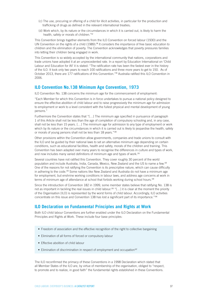- (c) The use, procuring or offering of a child for illicit activities, in particular for the production and trafficking of drugs as defined in the relevant international treaties;
- (d) Work which, by its nature or the circumstances in which it is carried out, is likely to harm the health, safety or morals of children."<sup>97</sup>

This Convention brings together elements from the ILO Convention on forced labour (1930) and the UN Convention on the rights of a child (1989).<sup>98</sup> It considers the importance of free basic education to children and the elimination of poverty. The Convention acknowledges that poverty pressures families into letting their children being engaged in work.

This Convention is so widely accepted by the international community that nations, corporations and trade unions have adopted it at an unprecedented rate. In a report by Education International on 'Child Labour and Education for All' it is stated: "The ratification rate has been the fastest ever in the history of the ILO. It took only two years to reach 100 ratifications and three more years to get to 150. As of October 2013, there are 177 ratifications of this Convention."99 Australia ratified this ILO Convention in 2006.

#### **ILO Convention No.138 Minimum Age Convention, 1973**

ILO Convention No. 138 concerns the minimum age for the commencement of employment:

"Each Member for which this Convention is in force undertakes to pursue a national policy designed to ensure the effective abolition of child labour and to raise progressively the minimum age for admission to employment or work to a level consistent with the fullest physical and mental development of young persons."

Furthermore the Convention states that "[…] The minimum age specified in pursuance of paragraph 1 of this Article shall not be less than the age of completion of compulsory schooling and, in any case, shall not be less than 15 years. […] The minimum age for admission to any type of employment or work which by its nature or the circumstances in which it is carried out is likely to jeopardise the health, safety or morals of young persons shall not be less than 18 years."100

Other provisions within the Convention allow governments, companies and trade unions to consult with the ILO and be guided by their national laws to set an alternative minimum age depending on certain conditions, such as educational facilities, health and safety, morals of the children and training. This Convention has been adapted over many years to recognise the differences in culture and types of work, and now includes many varied definitions of minimum age and types of work.<sup>101</sup>

Several countries have not ratified this Convention. They cover roughly 30 percent of the world population and include Australia, India, Canada, Mexico, New Zealand and the US to name a few.<sup>102</sup> One of the reasons for not ratifying the Convention is its prescriptive nature, which can cause difficulty in adhering to the code.103 Some nations like New Zealand and Australia do not have a minimum age for employment, but enshrine working conditions in labour laws, and address age concerns at work in terms of minimum age of attendance at school that forbids working during school hours.<sup>104</sup>

Since the introduction of Convention 182 in 1999, some member states believe that ratifying No. 138 is not as important in tackling the real issues in child labour.<sup>105</sup> "[...] it is clear at the moment the priority of the Organisation [ILO] is represented by the worst forms of child labour. Accordingly, ILO activities concentrate on this issue and Convention 138 has lost a significant part of its importance."<sup>106</sup>

#### **ILO Declaration on Fundamental Principles and Rights at Work**

Both ILO child labour Conventions are further enabled under the ILO Declaration on the Fundamental Principles and Rights at Work. These include four base principles:

- Freedom of association and the effective recognition of the right to collective bargaining
- Elimination of all forms of forced or compulsory labour
- Effective abolition of child labour
- Elimination of discrimination in respect of employment and occupation<sup>107</sup>

The ILO reconfirmed the primacy of these Conventions in a 1998 Declaration which stated that all Member States of the ILO are, by virtue of membership of the organisation, obliged to "respect, to promote and to realize, in good faith" the fundamental rights established in these Conventions.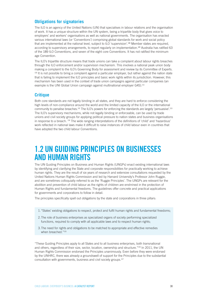#### **Obligations for signatories**

The ILO is an agency of the United Nations (UN) that specialises in labour relations and the organisation of work. It has a unique structure within the UN system, being a tripartite body that gives voice to employers' and workers' organisations as well as national governments. The organisation has enacted various international laws (or 'Conventions') comprising global standards for work and social policy that are implemented at the national level, subject to ILO 'supervision'.<sup>108</sup> Member states are required, according to supervisory arrangements, to report regularly on implementation.<sup>109</sup> Australia has ratified 63 of the 189 ILO Conventions, and seven of the eight core Conventions. It has not ratified the minimum age Convention.

The ILO's tripartite structure means that trade unions can take a complaint about labour rights breaches through the ILO enforcement and/or supervision mechanism. This involves a national peak union body making a complaint to the ILO's Governing Body for assessment and review by its Committee of Experts. <sup>110</sup> It is not possible to bring a complaint against a particular employer, but rather against the nation state that is failing to implement the ILO principles and basic work rights within its jurisdiction. However, this mechanism has been used in the context of trade union campaigns against particular companies (an example is the UNI Global Union campaign against multinational employer G4S).<sup>111</sup>

#### **Critique**

Both core standards are not legally binding in all states, and they are hard to enforce considering the high levels of non-compliance around the world and the limited capacity of the ILO or the international community to penalise breaches.<sup>112</sup> The ILO's powers for enforcing the standards are largely 'persuasive'.<sup>113</sup> The ILO's supervisory mechanisms, while not legally binding or enforceable, can be used by trade unions and civil society groups for applying political pressure to nation states and business organisations in response to a breach. 114 The wide ranging interpretations of the definitions of 'child' and 'hazardous' work reflected in national laws make it difficult to raise instances of child labour even in countries that have adopted the two child labour Conventions.

# **1.2 UN GUIDING PRINCIPLES ON BUSINESSES AND HUMAN RIGHTS**

The UN Guiding Principles on Business and Human Rights (UNGPs) enact existing international laws by identifying and clarifying the State and corporate responsibilities for practically working to achieve human rights. They are the result of six years of research and extensive consultations requested by the United Nations Human Rights Commission and led by Harvard University's Professor John Ruggie, and are sometimes colloquially referred to as the 'Ruggie Principles'. The UNGPs are relevant for the abolition and prevention of child labour as the rights of children are enshrined in the protection of Human Rights and fundamental freedoms. The guidelines offer concrete and practical applications for governments and corporations to follow in detail.

The principles specifically spell out obligations by the state and corporations in three pillars:

- 1."States' existing obligations to respect, protect and fulfil human rights and fundamental freedoms;
- 2.The role of business enterprises as specialized organs of society performing specialized functions, required to comply with all applicable laws and to respect human rights;
- 3.The need for rights and obligations to be matched to appropriate and effective remedies when breached."<sup>115</sup>

"These Guiding Principles apply to all States and to all business enterprises, both transnational and others, regardless of their size, sector, location, ownership and structure."<sup>116</sup> In 2011, the UN Human Rights Commission endorsed the Principles unanimously. Even before they were endorsed by the UNHRC, there was already a groundswell of support for the Principles due to the substantial consultation with governments, business and civil society groups.117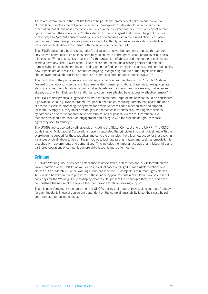There are several parts in the UNGPs that are helpful to the protection of children and prevention of child labour such as the obligation specified in principle 2: "States should set out clearly the expectation that all business enterprises domiciled in their territory and/or jurisdiction respect human rights throughout their operations."118 They also go further to suggest that it would be good practice to take steps to "prevent abuse abroad by business enterprises within their jurisdiction." i.e.: parent companies. These clear provisions provide a chain of authority for grievance reporting of identified instances of child labour to be raised with the governments concerned.

The UNGPs describe a business operation's obligations to cover human rights impacts through not only its own operations but also those that may be linked to it through services, products or business relationships.119 It also suggests processes for the prevention of abuses and monitoring of child labour within a company. The UNGPs state: "The process should include assessing actual and potential human rights impacts, integrating and acting upon the findings, tracking responses, and communicating how impacts are addressed [...] Should be ongoing, recognizing that the human rights risks may change over time as the business enterprise's operations and operating context evolve."<sup>120</sup>

The third pillar of the principles is about finding a remedy when breaches occur. Principle 25 states: "As part of their duty to protect against business-related human rights abuse, States must take appropriate steps to ensure, through judicial, administrative, legislative or other appropriate means, that when such abuses occur within their territory and/or jurisdiction those affected have access to effective remedy."<sup>121</sup>

The UNGPs offer practical suggestions for both the State and Corporations on what could be considered a grievance, various grievance procedures, possible remedies, reducing barriers that lead to the denial of access, as well as promoting the systems for people to access such mechanisms and support for them. "Simply put, they must provide genuine remedies for victims of human rights violations by companies and must not amount to communications or political exercises. Operational-level mechanisms should be based on engagement and dialogue with the stakeholder groups whose rights they seek to remedy."122

The UNGPs are supported by UN agencies including the Global Compact and the UNPRI. The OECD Guidelines for Multinational Corporations have incorporated the principles into their guidelines. With the overwhelming support for these practical and concrete principles, there is a new scope for those raising instances of child labour to rely on the principles to facilitate raising matters and seeking remediation for breaches with governments and corporations. This includes the important supply chain, labour hire and partnered operations of companies where child labour is more often found.

#### **Critique**

A UNGPs Working Group has been established to assist states, enterprises and NGOs to work on the implementation of the UNGPs as well as on individual cases of alleged human rights violations and abuses.123 As at March 2014 the Working Group has received 19 complaints of human rights abuses, 16 of which have been made public. 124 Of these, none appear to contain child labour abuses. It is still early days for the Working Group to display clear results, present the challenges they face, and even demonstrate the nature of the service they can provide for those seeking support.

There is no enforcement mechanism for the UNGPs but by their nature, they seek to source a 'remedy' for each incident. These of course are dependent on the complainant's ability to get their case heard and promoted for action to occur.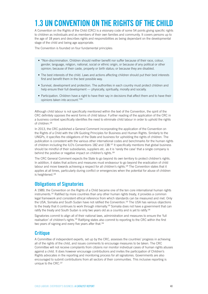# **1.3 UN CONVENTION ON THE RIGHTS OF THE CHILD**

A Convention on the Rights of the Child (CRC) is a visionary code of some 54 points giving specific rights to children as individuals and as members of their own families and community. It covers persons up to the age of 18 years and describes rights and responsibilities as being dependant on the developmental stage of the child and being age appropriate.

The Convention is founded on four fundamental principles:

- "Non-discrimination. Children should neither benefit nor suffer because of their race, colour, gender, language, religion, national, social or ethnic origin, or because of any political or other opinion; because of their caste, property or birth status; or because they are disabled.
- The best interests of the child. Laws and actions affecting children should put their best interests first and benefit them in the best possible way.
- Survival, development and protection. The authorities in each country must protect children and help ensure their full development — physically, spiritually, morally and socially.
- Participation. Children have a right to have their say in decisions that affect them and to have their opinions taken into account."<sup>125</sup>

Although child labour is not specifically mentioned within the text of the Convention, the spirit of the CRC definitely opposes the worst forms of child labour. Further reading of the application of the CRC in a business context specifically identifies the need to eliminate child labour in order to uphold the rights of children.<sup>126</sup>

In 2013, the CRC published a General Comment incorporating the application of the Convention on the Rights of a Child with the UN Guiding Principles for Business and Human Rights. Similarly to the UNGPs, it specifies the obligations of the State and business for upholding the rights of children. The publication is consistent with the various other international codes and benchmarks for the human rights of children including the ILO's Conventions 182 and 138.127 It specifically mentions that global business should be mindful of their subsidiaries, suppliers etc. as it is 'rarely the case' that a single company is behind the positive or negative impact on children's rights.<sup>128</sup>

The CRC General Comment expects the State to go beyond its own territory to protect children's rights. In addition, it states that actions and measures must endeavour to go beyond the eradication of child labour and move towards achieving a respect for all children's rights.<sup>129</sup> The Convention states that it applies at all times, particularly during conflict or emergencies when the potential for abuse of children is heightened.<sup>130</sup>

## **Obligations of Signatories**

A 1989, the Convention on the Rights of a Child became one of the ten core international human rights instruments.<sup>131</sup> Ratified by more countries than any other human rights treaty, it provides a common legal framework and consistent ethical reference from which standards can be measured and met. Only the USA, Somalia and South Sudan have not ratified the Convention.<sup>132</sup> The USA has various objections to the treaty that it continues to work through internally.<sup>133</sup> Somalia does not have a government that can ratify the treaty and South Sudan is only two years old as a country and is yet to ratify.<sup>134</sup>

Signatories commit to align all of their national laws, administration and measures to ensure the 'full realisation' of children's rights.135 Ratifying states also commit to reporting to the CRC within the first two years of signing and every five years after that.<sup>136</sup>

## **Critique**

A Committee of independent experts, set up by the CRC, assesses the countries' progress in achieving all of the rights of the child, and issues comments to encourage measures to be taken. The CRC Committee will not receive complaints from citizens nor monitor individual cases of human rights abuses against a child. It does however encourage contributions and invites the participation of Children's Rights advocates in the reporting and monitoring process for all signatories. Governments are also encouraged to submit contributions from all sectors of their communities. This inclusive reporting is unique to the CRC.137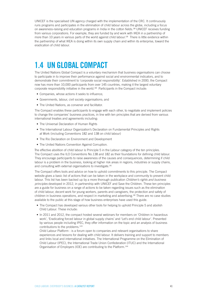UNICEF is the specialised UN agency charged with the implementation of the CRC. It continuously runs programs and participates in the elimination of child labour across the globe, including a focus on awareness-raising and education programs in India in the cotton fields.<sup>138</sup> UNICEF receives funding from various corporations. For example, they are funded by and work with IKEA in a partnership of more than 10 years in various parts of the world against child labour.<sup>139</sup> There is little evidence within the partnership of what IKEA is doing within its own supply chain and within its enterprise, toward the eradication of child labour.

# **1.4 UN GLOBAL COMPACT**

The United Nations Global Compact is a voluntary mechanism that business organisations can choose to participate in to improve their performance against social and environmental indicators, and to demonstrate their commitment to 'corporate social responsibility'. Established in 2000, the Compact now has more than 10,000 participants from over 145 countries, making it the largest voluntary corporate responsibility initiative in the world.<sup>140</sup> Participants in the Compact include:

- Companies, whose actions it seeks to influence;
- Governments, labour, civil society organisations; and
- The United Nations, as convener and facilitator.

The Compact enables these participants to engage with each other, to negotiate and implement policies to change the companies' business practices, in line with ten principles that are derived from various international treaties and agreements including:

- The Universal Declaration of Human Rights
- The International Labour Organization's Declaration on Fundamental Principles and Rights at Work (including Conventions 182 and 138 on child labour)
- The Rio Declaration on Environment and Development
- The United Nations Convention Against Corruption.

The effective abolition of child labour is Principle 5 in the Labour category of the ten principles. The Compact uses the ILO Conventions No.138 and 182 as their foundations for defining child labour. They encourage participants to raise awareness of the causes and consequences, determining if child labour is a problem in the business, looking at higher risk areas in regions, industries or supply chains, and consulting with external organisations to investigate.<sup>141</sup>

The Compact offers tools and advice on how to uphold commitments to this principle. The Compact website gives a basic list of actions that can be taken in the workplace and community to prevent child labour. This list has been backed up by a more thorough publication *Children's rights and business principles* developed in 2012, in partnership with UNICEF and Save the Children. These ten principles are a guide for business on a range of actions to be taken regarding issues such as the elimination of child labour, decent work for young workers, parents and caregivers, the protection and safety of children in business operations, and respect in marketing and advertising.<sup>142</sup> There are no case studies available to the public at this stage of how business enterprises have used this guide.

- The Compact has developed various other tools for helping to uphold Principle 5 and abolish Child Labour. These include:
- In 2011 and 2012, the compact hosted several webinars for members on 'Children in hazardous work', 'Eradicating forced labour in global supply chains' and 'Let's end child labour'. Presented by various people including IPEC, they offer information on the topic and an analysis of business contributions to the problems.<sup>143</sup>

Child Labour Platform - is a forum open to companies and relevant organisations to share experiences and lessons for dealing with child labour. It delivers training and support to members and links local and international initiatives. The International Programme on the Elimination of Child Labour (IPEC), the International Trade Union Confederation (ITUC) and the International Organisation of Employers (IOE) are contributing to the Platform.144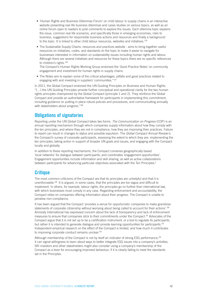- 'Human Rights and Business Dilemmas Forum' on child labour in supply chains is an interactive website presenting real life business dilemmas and cases studies on various topics, as well as an online forum open to readers to post comments to explore the issues. Each dilemma topic explains the issue, common real life scenarios, and specifically those in emerging economies, risks to business, suggestions for responsible business actions and resources and finally a background to the topic. It is linked to other child labour resources, websites and initiatives.<sup>145</sup>
- The Sustainable Supply Chains: resources and practices website aims to bring together useful resources on initiatives, codes, and standards on the topic to make it easier to navigate for businesses interested in information on sustainability issues including human rights and labour. Although there are several initiatives and resources for these topics there are no specific references to children's rights.<sup>146</sup>

The Compact's Human Rights Working Group endorsed the 'Good Practice Notes' on community engagement and investment for human rights in supply chains.

• The Notes aim to explain some of the critical advantages, pitfalls and good practices related to engaging with and investing in suppliers' communities."147

In 2011, the Global Compact endorsed the UN Guiding Principles on Business and Human Rights: "[…] the UN Guiding Principles provide further conceptual and operational clarity for the two human rights principles championed by the Global Compact [principle 1 and 2]. They reinforce the Global Compact and provide an authoritative framework for participants in implementing this commitment, including guidance on putting in place robust policies and procedures, and communicating annually with stakeholders about progress."<sup>148</sup>

### **Obligations of signatories**

Reporting under the UN Global Compact takes two forms. *The Communication on Progress* (COP) is an annual reporting mechanism through which companies supply information about how they comply with the ten principles, and where they are not in compliance, how they are improving their practices. Failure to report can result in changes to status and possible expulsion. The *Global Compact Annual Review* is the Compact's survey of corporate participants, assessing the extent to which they are: implementing the ten principles; taking action in support of broader UN goals and issues; and engaging with the Compact locally and globally.

In addition to these reporting mechanisms, the Compact convenes geographically based 'local networks' for dialogue between participants; and coordinates 'engagement opportunities'. Engagement opportunities include information and skill sharing, as well as active collaborations between participants for advancing particular objectives associated with the Ten Principles.<sup>§</sup>

## **Critique**

The most common criticisms of the Compact are that its principles are unhelpful and that it is unenforceable.149 It is argued, in some cases, that the principles are too vague and difficult to implement. In others, for example, labour rights, the principles go no further than international law, with which businesses must comply in any case. Regarding enforcement and accountability, the Compact relies on companies offering information about their progress. The Compact is unable to penalise non-compliance.

It has been argued that the Compact 'provides a venue for opportunistic companies to make grandiose statements of corporate citizenship without worrying about being called to account for their actions'.<sup>150</sup> Amnesty International has expressed concern about the lack of transparency and lack of enforcement measures to ensure that companies stick to their commitments under the Compact.151 Advocates of the Compact argue that it is not set up to be a certification instrument, or a tool to regulate its participants, but rather it is intended to generate dialogue and provide learning opportunities for participants.<sup>152</sup> Independent empirical research on the effect of the Compact is limited, and how much it contributes to improving corporate conduct remains unclear.<sup>153</sup>

Although membership of the Compact is not by itself an indicator of strong ESG performance,<sup>154</sup> it can signal willingness to learn about ways to better integrate ESG issues into a company's activities. SRI investors and other stakeholders might also consider using a company's membership of the Compact as a lever for encouraging improved behaviour, if it is clearly failing to meet the standards set in the Principles.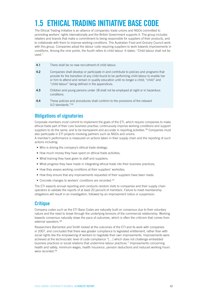# **1.5 ETHICAL TRADING INITIATIVE BASE CODE**

The Ethical Trading Initiative is an alliance of companies; trade unions and NGOs committed to promoting workers' rights internationally and the British Government supports it. The group includes retailers and brands that make a commitment to being responsible for suppliers of their products, and to collaborate with them to improve working conditions. The Australian Food and Grocery Council work with this group. Companies adopt the labour code requiring suppliers to work towards improvements in conditions. Among the nine points, the fourth refers to child labour. It states: "Child labour shall not be used."

| 4.1 | There shall be no new recruitment of child labour.                                                                                                                                                                                                                                                                              |
|-----|---------------------------------------------------------------------------------------------------------------------------------------------------------------------------------------------------------------------------------------------------------------------------------------------------------------------------------|
| 4.2 | Companies shall develop or participate in and contribute to policies and programs that<br>provide for the transition of any child found to be performing child labour to enable her<br>or him to attend and remain in quality education until no longer a child; "child" and<br>"child labour" being defined in the appendices. |
| 4.3 | Children and young persons under 18 shall not be employed at night or in hazardous<br>conditions.                                                                                                                                                                                                                               |
| 4.4 | These policies and procedures shall conform to the provisions of the relevant<br>$ILO$ standards." $155$                                                                                                                                                                                                                        |

## **Obligations of signatories**

Corporate members must commit to implement the goals of the ETI, which require companies to make ethical trade part of their core business practise; continuously improve working conditions and support suppliers to do the same; and to be transparent and accurate in reporting activities.<sup>156</sup> Companies must also participate in ETI projects involving partners such as NGOs and unions.

A member's performance is measured on actions taken in their supply chain and the reporting of such actions including:

- Who is driving the company's ethical trade strategy;
- How much money they have spent on ethical trade activities;
- What training they have given to staff and suppliers;
- What progress they have made in integrating ethical trade into their business practices;
- How they assess working conditions at their suppliers' worksites;
- How they ensure that any improvements requested of their suppliers have been made.
- Concrete changes to workers' conditions are recorded.<sup>157</sup>

The ETI expects annual reporting and conducts random visits to companies and their supply chain operators to validate the reports of at least 20 percent of members. Failure to meet membership obligations will result in an investigation, followed by an improvement notice or suspension.

## **Critique**

Company codes such as the ETI Base Codes are naturally built on consensus due to their voluntary nature and the need to break through the underlying tensions of the commercial relationship. Working towards consensus naturally slows the pace of outcomes, which is often the criticism that comes from external operators.<sup>158</sup>

Researchers Barrientos and Smith looked at the outcomes of the ETI and its work with companies in 2007, and concluded that there was greater compliance to legislated entitlement, rather than with social rights like the empowering of workers to negotiate their own improvements. Improvements were achieved at the technocratic level of code compliance "[…] which does not challenge embedded business practices or social relations that undermine labour practices." Improvements concerning health and safety, minimum wages, health insurance, pension deductions and reduced working hours were recorded.<sup>159</sup>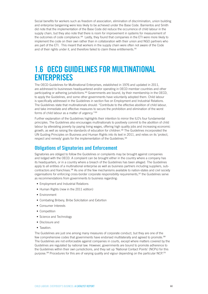Social benefits for workers such as freedom of association, elimination of discrimination, union building and enterprise bargaining were less likely to be achieved under the Base Code. Barrientos and Smith did note that the implementation of the Base Code did reduce the occurrence of child labour in the supply chain, but they also note that there is room for improvement in systems for measurement of the outcomes of code compliance.160 Lastly, they found that companies in the ETI were more likely to implement the code on their own rather than in collaboration with their union and NGO partners who are part of the ETI. This meant that workers in the supply chain were often not aware of the Code and of their rights under it, and therefore failed to claim these entitlements.<sup>161</sup>

# **1.6 OECD GUIDELINES FOR MULTINATIONAL ENTERPRISES**

The OECD Guidelines for Multinational Enterprises, established in 1976 and updated in 2011, are addressed to businesses headquartered and/or operating in OECD member countries and other participating or adhering jurisdictions.<sup>162</sup> Governments are bound, by their membership in the OECD, to apply the Guidelines, and some other governments have voluntarily adopted them. Child labour is specifically addressed in the Guidelines in section five on Employment and Industrial Relations. The Guidelines state that multinationals should: "Contribute to the effective abolition of child labour, and take immediate and effective measures to secure the prohibition and elimination of the worst forms of child labour as a matter of urgency."<sup>163</sup>

Further explanation of the Guidelines highlights their intention to mirror the ILO's four fundamental principles. The Guidelines also encourages multinationals to positively commit to the abolition of child labour by alleviating poverty by paying living wages, offering high quality jobs and increasing economic growth, as well as raising the standards of education for children.<sup>164</sup> The Guidelines incorporated the UN Guiding Principles on Business and Human Rights into its text in 2011, and relies on its 'protect, respect and remedy' goals for the implementation of the Guidelines.<sup>165</sup>

### **Obligations of Signatories and Enforcement**

Signatories are obliged to follow the Guidelines or complaints may be brought against companies and lodged with the OECD. A complaint can be brought either in the country where a company has its headquarters, or in a country where a breach of the Guidelines has been alleged. The Guidelines apply to all entities of a multinational enterprise as well as business partners including suppliers, subcontractors and franchises.166 As one of the few mechanisms available to nation-states and civil society organisations for enforcing cross-border corporate responsibility requirements,167 the Guidelines serve as recommendations from governments to business regarding:

- Employment and Industrial Relations
- Human Rights (new in the 2011 edition)
- Environment
- Combating Bribery, Bribe Solicitation and Extortion
- Consumer Interests
- Competition
- Science and Technology
- Disclosure and
- Taxation.

The Guidelines are just one among many measures of corporate conduct, but they are one of the few comprehensive codes that governments have endorsed multilaterally and agreed to promote.<sup>168</sup> The Guidelines are not enforceable against companies in courts, except where matters covered by the Guidelines are regulated by national law. However, governments are bound to promote adherence to the Guidelines within their own jurisdictions, and they set up 'National Contact Points' (NCPs) for this purpose.<sup>169</sup> Procedures for this are of varying quality and vigour depending on the particular NCP.<sup>170</sup>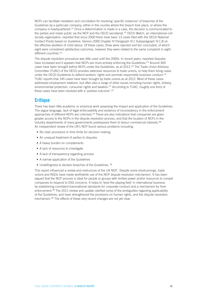NCPs can facilitate mediation and conciliation for resolving 'specific instances' of breaches of the Guidelines by a particular company, either in the country where the breach took place, or where the company is headquartered.<sup>171</sup> Once a determination is made in a case, the decision is communicated to the parties and made public via the NCP and the OECD secretariat.<sup>172</sup> OECD Watch, an international civil society organisation, reported that since 2000 there have been 13 cases filed with the OECD National Contact Points based on Guideline: Version 2000 Chapter IV Paragraph IV.1 Subparagraph IV.1.B on the effective abolition of child labour. Of these cases, three were rejected and ten concluded, of which eight were considered satisfactory outcomes, however they were related to the same complaint in eight different countries.<sup>173</sup>

The dispute resolution procedure was little used until the 2000s. In recent years, reported disputes have increased and it appears that NCPs are more actively enforcing the Guidelines.<sup>174</sup> Around 300 cases have been brought before NCPs under the Guidelines, as at 2012.175 The Trade Union Advisory Committee (TUAC) of the OECD provides extensive resources to trade unions, to help them bring cases under the OECD Guidelines to defend workers' rights and promote responsible business conduct.<sup>176</sup> TUAC reports that 145 cases have been brought by trade unions as at 2012. Most of these cases addressed employment relations, but often also a range of other issues including human rights, bribery, environmental protection, consumer rights and taxation.<sup>177</sup> According to TUAC, roughly one third of these cases have been resolved with a 'positive outcome'.<sup>178</sup>

## **Critique**

There has been little academic or empirical work assessing the impact and application of the Guidelines. The vague language, lack of legal enforceability and evidence of inconsistency in the enforcement approaches of different NCPs are criticised.<sup>179</sup> There are also indications that companies are given greater access to the NCPs in the dispute resolution process, and that the location of NCPs in the industry departments of many governments predisposes them to favour commercial interests.<sup>180</sup> An independent review of the UK's NCP found various problems including:

- No clear procedure or time limits for decision-making
- An unequal treatment of parties to disputes
- A heavy burden on complainants
- A lack of resources to investigate
- A lack of transparency regarding process
- A narrow application of the Guidelines
- Unwillingness to declare breaches of the Guidelines. 181

This report influenced a review and restructure of the UK NCP. Despite some shortcomings, trade unions and NGOs have made worthwhile use of the NCP dispute resolution mechanism. It has been argued that the NCP process is ideal for people or groups with limited power and/or resources to compel companies to respond to ESG concerns. It helps to 'level the playing field' in international business by establishing consistent transnational standards for corporate conduct and a mechanism for their enforcement.182 The 2011 review and update clarified some of the ambiguities regarding applicability of the Guidelines, and have strengthened the provisions on human rights, and the dispute resolution mechanism.183 The effects of these very recent changes are not yet clear.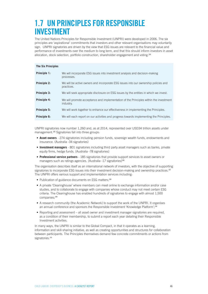# **1.7 UN PRINCIPLES FOR RESPONSIBLE INVESTMENT**

The United Nations Principles for Responsible Investment (UNPRI) were developed in 2006. The six principles are 'aspirational' commitments that investors and other relevant organisations may voluntarily sign. UNPRI signatories are driven by the view that ESG issues are relevant to the financial value and performance of investments over the medium to long term, and that this should inform investors in asset allocation, stock selection, portfolio construction, shareholder engagement and voting.<sup>184</sup>

| <b>The Six Principles</b> |                                                                                                    |
|---------------------------|----------------------------------------------------------------------------------------------------|
| Principle 1:              | We will incorporate ESG issues into investment analysis and decision-making<br>processes.          |
| <b>Principle 2:</b>       | We will be active owners and incorporate ESG issues into our ownership policies and<br>practices.  |
| Principle 3:              | We will seek appropriate disclosure on ESG issues by the entities in which we invest.              |
| Principle 4:              | We will promote acceptance and implementation of the Principles within the investment<br>industry. |
| Principle 5:              | We will work together to enhance our effectiveness in implementing the Principles.                 |
| Principle 6:              | We will each report on our activities and progress towards implementing the Principles.            |

UNPRI signatories now number 1,260 and, as at 2014, represented over USD34 trillion assets under management.<sup>185</sup> Signatories fall into three groups:

- **• Asset owners** 274 signatories including pension funds, sovereign wealth funds, endowments and insurance. (Australia -34 signatories)
- **• Investment managers** 801 signatories including third party asset managers such as banks, private equity firms, hedge funds. (Australia -78 signatories)
- **• Professional service partners** 185 signatories that provide support services to asset owners or managers such as ratings agencies. (Australia -17 signatories)<sup>186</sup>

The organisation describes itself as an international network of investors, with the objective of supporting signatories to incorporate ESG issues into their investment decision-making and ownership practices.<sup>187</sup> The UNPRI offers various support and implementation services including:

- Publication of guidance documents on ESG matters;<sup>188</sup>
- A private 'Clearinghouse' where members can meet online to exchange information and/or case studies, and to collaborate to engage with companies whose conduct may not meet certain ESG criteria. The Clearinghouse has enabled hundreds of signatories to engage with almost 1,500 companies;<sup>189</sup>
- A research community (the Academic Network) to support the work of the UNPRI. It organises an annual conference and sponsors the Responsible Investment 'Knowledge Platform';<sup>190</sup>
- Reporting and assessment all asset owner and investment manager signatories are required, as a condition of their membership, to submit a report each year detailing their Responsible Investment activities.

In many ways, the UNPRI is similar to the Global Compact, in that it operates as a learning, information and skill-sharing initiative, as well as creating opportunities and structures for collaboration between participants. The Principles themselves demand few concrete commitments or actions from signatories.<sup>191</sup>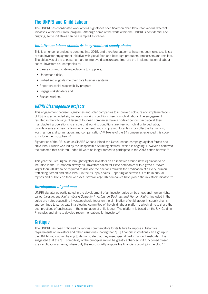### **The UNPRI and Child Labour**

The UNPRI has coordinated work among signatories specifically on child labour for various different initiatives within their work program. Although some of the work within the UNPRI is confidential and ongoing, some initiatives can be exampled as follows:

#### *Initiative on labour standards in agricultural supply chains*

This is an ongoing project to continue into 2015, and therefore outcomes have not been released. It is a private investor engagement initiative with global food and beverage producers, processors and retailers. The objectives of the engagement are to improve disclosure and improve the implementation of labour codes. Investors ask companies to:

- Clearly communicate expectations to suppliers,
- Understand risks,
- Embed social goals into their core business systems,
- Report on social responsibility progress,
- Engage stakeholders and
- Engage workers

#### *UNPRI Clearinghouse projects*

This engagement between signatories and solar companies to improve disclosure and implementation of ESG issues included signing up to working conditions free from child labour. The engagement resulted in the following: "Eleven of fourteen companies have a code of conduct in place at their manufacturing operations to ensure that working conditions are free from child or forced labor, provide a safe and healthy living environment, and comply with local laws for collective bargaining, working hours, discrimination, and compensation."192 Twelve of the 14 companies extended this code to include their suppliers.<sup>193'</sup>

Signatories of the PRI such as SHARE Canada joined the Uzbek cotton campaign against forced and child labour which was led by the Responsible Sourcing Network, which is ongoing. However it achieved the outcome that children under 15 were no longer forced to participate in the 2013 cotton harvest.<sup>194</sup>

This year the Clearinghouse brought together investors on an initiative around new legislation to be included in the UK modern slavery bill. Investors called for listed companies with a gross turnover larger than £100m to be required to disclose their actions towards the eradication of slavery, human trafficking, forced and child labour in their supply chains. Reporting of activities is to be in annual reports and publicly on their websites. Several large UK companies have joined the investors' initiative.<sup>195</sup>

#### *Development of guidance*

UNPRI signatories participated in the development of an investor guide on business and human rights called *Investing the Rights Way: A Guide for Investors on Business and Human Rights*. Included in the guide are notes suggesting investors should focus on the elimination of child labour in supply chains, and continue to participate in a steering committee of the child labour platform, which aims to share the best practices of businesses in the elimination of child labour. The platform is based on the UN Guiding Principles and aims to develop recommendations for investors.<sup>196</sup>

### **Critique**

The UNPRI has been criticised by various commentators for its failure to impose substantive requirements on investors and other signatories, noting that "[…] financial institutions can sign up to the UNPRI without first having to demonstrate that they meet special performance thresholds". It is suggested that the "[…] credibility of the principles would be greatly enhanced if it functioned closer to a certification scheme, where only the most socially responsible financiers could join the club".<sup>197</sup>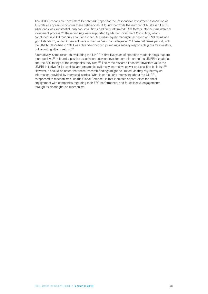The 2008 Responsible Investment Benchmark Report for the Responsible Investment Association of Australasia appears to confirm these deficiencies. It found that while the number of Australian UNPRI signatories was substantial, only two small firms had 'fully integrated' ESG factors into their mainstream investment process.198 These findings were supported by Mercer Investment Consulting, which concluded in 2009 that only about one in ten Australian equity managers achieved an ESG rating of a 'good standard', while 56 percent were ranked as 'less than adequate'.199 These criticisms persist, with the UNPRI described in 2011 as a 'brand-enhancer' providing a socially responsible gloss for investors, but requiring little in return.<sup>200</sup>

Alternatively, some research evaluating the UNPRI's first five years of operation made findings that are more positive.<sup>201</sup> It found a positive association between investor commitment to the UNPRI signatories and the ESG ratings of the companies they own.<sup>202</sup> The same research finds that investors value the UNPRI initiative for its 'societal and pragmatic legitimacy, normative power and coalition building'.<sup>203</sup> However, it should be noted that these research findings might be limited, as they rely heavily on information provided by interested parties. What is particularly interesting about the UNPRI, as opposed to mechanisms like the Global Compact, is that it creates opportunities for direct engagement with companies regarding their ESG performance; and for collective engagements through its clearinghouse mechanism.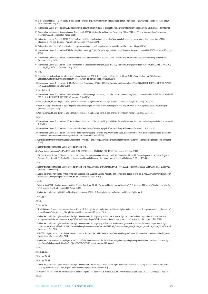- World Vision Australia 'What exactly is child labour' Website http://www.worldvision.com.au/issues/Human\_Trafficking\_\_\_Slavery/What\_exactly\_is\_child\_labour\_. aspx [accessed 1 May 2014]
- International Labour Organization (2012) Tackling child labour from commitment to action http://ilo.org/ipec/Informationresources/WCMS\_181875/lang--en/index.htm
- Organisation for Economic Co-operation and Development (2011) Guidelines for Multinational Enterprises: Edition 2011, pp. 35. http://www.oecd.org/investment/ mne/48004323.pdf [accessed 20 August 2014]
- United Nation Global Compact (2012). Children's Rights and Business Principles, pp.5. http://www.unglobalcompact.org/docs/issues\_doc/human\_rights/CRBP/ Childrens\_Rights\_and\_Business\_Principles.pdf [accessed 20 August 2014].
- Catalyst Australia (2013). What is Wealth for? http://www.catalyst.org.au/campaigns/what-is-wealth-report [accessed 18 August 2014]
- International Labour Organization (2012) Tackling Child Labour, pp. 5. http://www.ilo.org/ipecinfo/product/download.do?type=document&id=20136 [accessed 20 August 2014]
- International Labour Organization International Programme on the Elimination of Child Labour Website http://www.ilo.org/ipec/programme/lang--en/index.htm [accessed 16 May 2014]
- International Labour Organization C182 Worst Forms of Child Labour Convention, 1999 (No. 182) http://www.ilo.org/dyn/normlex/en/f?p=NORMLEXPUB:12100:0::NO: :P12100\_ILO\_CODE:C182 [accessed 1 May 2014]

98 Ibid

 Education International and the International Labour Organization (2013). Child labour and Education for All, pp. 9. http://download.ei-ie.org/SiteDirectory/ ChildLabourEditorialGroup/Doc/ChildLabour%20and%20EFA\_EN.pdf [accessed 20 August 2014]

 International Labour Organization - C138 - Minimum Age Convention, 1973 (No. 138) http://www.ilo.org/dyn/normlex/en/f?p=NORMLEXPUB:12100:0::NO:12100:P12100\_ ILO CODE:C138 [accessed 1 May 2014]

Ibid, Article 10.

 International Labour Organization - Ratification of C138 - Minimum Age Convention, 1973 (No. 138) http://www.ilo.org/dyn/normlex/en/f?p=NORMLEXPUB:11310:0::NO:11 310:P11310\_INSTRUMENT\_ID:312283:NO [accessed 9 May 2014]

Nesi, G., Pertile, M., and Nogler, L. (Eds.). (2013). Child labour in a globalized world: a legal analysis of ILO action. Ashgate Publishing Ltd, pp. 64.

 Roth, P. (2008). The difficulty in regulating child labour in developed countries: A New Zealand perspective http://www.childjustice.org/wsecl/papers/Roth2008.pdf [accessed 20 August 2014]

 Nesi, G., Pertile, M., and Nogler, L. (Eds.). (2013). Child labour in a globalized world: a legal analysis of ILO action. Ashgate Publishing Ltd, pp. 64. Ibid.

- International Labour Organization ILO Declaration on Fundamental Principles and Rights at Work Website http://www.ilo.org/declaration/lang--en/index.htm [accessed 1 May 2014]
- International Labour Organization Labour Standards Website http://www.ilo.org/global/standards/lang--en/index.htm [accessed 11 March 2014].

 International Labour Organization - Conventions and Recommendations – Website http://www.ilo.org/global/standards/introduction-to-international-labour-standards/ conventions-and-recommendations/lang--en/index.htm [accessed 11 March 2014].

 Constitution of the International Labour Organisation - Articles 24 and 26 http://www.ilo.org/public/english/bureau/leg/download/constitution.pdf [accessed 20 August 2014]

See for example International Labour Organisation case note:

http://www.ilo.org/dyn/normlex/en/f?p=1000:50001:0::NO:50001:P50001\_COMPLAINT\_FILE\_ID:2897786 [accessed 25 June 2014].

 Biffl, G., & Isaac, J. (2005). Globalisation and Core Labour Standards Compliance Problems with ILO Conventions 87 and 98. Comparing Australia and other English-Speaking Countries with EU Member States. International Journal of Comparative Labour Law and Industrial Relations, 21(3), pp. 405-441.

Ibid.

- See for example International Labour Organisation case note: http://www.ilo.org/dyn/normlex/en/f?p=1000:50001:0::NO:50001:P50001\_COMPLAINT\_FILE\_ID:2897786 [accessed 25 June 2014].
- United Nations Human Rights Office of the High Commissioner (2011) UN Guiding Principles on Business and Human Rights, pp. 1. http://www.ohchr.org/Documents/ Publications/GuidingPrinciplesBusinessHR\_EN.pdf [accessed 20 August 2014]

Ibid.

 World Vision (2014). Creating Markets for Child Friendly Growth, pp. 28. http://www.worldvision.com.au/Libraries/3\_3\_1\_Children\_PDF\_reports/Creating\_markets\_for\_ child-friendly\_growth.pdf [accessed 20 August 2014]

United Nations Human Rights Office of the High Commissioner (2011) UN Guiding Principles on Business and Human Rights, pp. 8.

Ibid, pp. 17.

Ibid.

Ibid, pp. 27.

- The UN Working Group on Business and Human Rights. UN Guiding Principles on Business and Human Rights: An Introduction, pp. 4. http://www.ohchr.org/Documents/ Issues/Business/Intro\_Guiding\_PrinciplesBusinessHR.pdf [accessed 20 August 2014]
- United Nations Human Rights Office of the High Commissioner Working Group on the issue of human rights and transnational corporations and other business enterprises – Website http://www.ohchr.org/EN/Issues/Business/Pages/WGHRandtransnationalcorporationsandotherbusiness.aspx [accessed 11 May 2014]
- United Nations Human Rights Office of the High Commissioner Working Group on Business and Human Right's work on individual cases of alleged human rights violations and abuses - March 2014 http://www.ohchr.org/Documents/Issues/Business/WGBrief\_Communications\_with\_States\_and\_non-State\_actors\_12.03.2014.pdf [accessed 11 May 2014]
- UNICEF 25 years of the United Nations Convention on the Rights of the Child Website http://www.unicef.org.au/Discover/What-we-do/Convention-on-the-Rights-ofthe-Child.aspx [accessed 4 May 2014]

 United Nations Convention on the Rights of the Child (2013). General comment No. 16 on State obligations regarding the impact of business sector on children's rights http://www2.ohchr.org/english/bodies/crc/docs/GC/CRC-C-GC-16\_en.doc [accessed 20 August]

Ibid.

Ibid, pp. 11.

Ibid, pp. 14.48.

Ibid, pp. 14.50.

 United Nations Human Rights - Office of the High Commissioner. The core international human rights instruments and their monitoring bodies – Website http://www. ohchr.org/EN/ProfessionalInterest/Pages/CoreInstruments.aspx [accessed 11 May 2014]

 'Why won't America ratify the UN convention on children's rights?' The Economist. 6 October 2013. http://www.economist.com/node/21587294 [accessed 11 May 2014] Ibid.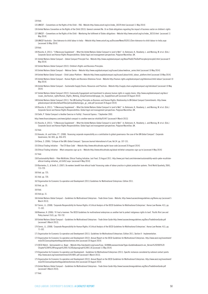Ibid.

UNICEF – Conventions on the Rights of the Child – FAQ - Website http://www.unicef.org/crc/index\_30229.html [accessed 11 May 2014]

 United Nations Convention on the Rights of the Child (2013). General comment No. 16 on State obligations regarding the impact of business sector on children's rights 137 UNICEF – Conventions on the Rights of the Child – Monitoring the fulfilment of States obligations - Website http://www.unicef.org/crc/index\_30210.html [accessed 11 May 2014]

 UNICEF Australia - Zero tolerance to child labour in India – Website http://www.unicef.org.au/Discover/News/052011/Zero-tolerance-to-child-labour-in-India.aspx [accessed 16 May 2014]

Ibid.

- Rasche, A. (2011). "'A Necessary Supplement' What the United Nations Global Compact Is (and Is Not)". In: Buhmann, K., Roseberry, L. and Morsing, M. et al. (Eds.) Corporate Social and Human Rights Responsibilities: Global legal and management perspectives. Palgrave Macmillan, UK.
- United Nations Global Compact Global Compact Principle Five Website http://www.unglobalcompact.org/AboutTheGC/TheTenPrinciples/principle5.html [accessed 9 May 2014]
- United Nations Global Compact (2012). Children's Rights and Business Principles.
- United Nations Global Compact Webinar Series Website http://www.unglobalcompact.org/Issues/Labour/webinar\_series.html [accessed 10 May 2014]
- United Nation Global Compact Child Labour Platform Website http://www.unglobalcompact.org/Issues/Labour/child\_labour\_platform.html [accessed 10 May 2014]
- United Nations Global Compact Human Rights and Business Dilemmas Forum Website http://human-rights.unglobalcompact.org/dilemmas/child-labour/ [accessed 10 May 2014]
- United Nations Global Compact Sustainable Supply Chains: Resources and Practices Website http://supply-chain.unglobalcompact.org/site/about/ [accessed 10 May 2014]
- United Nations Global Compact (2012). Community Engagement and Investment to advance human rights in supply chains. http://www.unglobalcompact.org/docs/ issues\_doc/human\_rights/Human\_Rights\_Working\_Group/CommunityEngage\_Inv\_SupplyChain.pdf [accessed 20 August 2014]
- United Nations Global Compact (2011). The UN Guiding Principles on Business and Human Rights: Relationship to UN Global Compact Commitments. http://www. globalcompact.de/sites/default/files/jahr/publikation/gps\_gc\_note.pdf [accessed 20 August 2014]
- Rasche, A. (2011). "'A Necessary Supplement' What the United Nations Global Compact Is (and Is Not)". In: Buhmann, K., Roseberry, L. and Morsing, M. et al. (Eds.) Corporate Social and Human Rights Responsibilities: Global legal and management perspectives. Palgrave Macmillan, UK.

Sethi, P. 'Global Compact is Another Exercise in Futility'. Financial Express. 7 September 2003.

http://www.financialexpress.com/news/global-compact-is-another-exercise-infutility/91447 [accessed 4 March 2013]

 Rasche, A. (2011). "'A Necessary Supplement' – What the United Nations Global Compact Is (and Is Not)". In: Buhmann, K., Roseberry, L. and Morsing, M. et al. (Eds.) Corporate Social and Human Rights Responsibilities: Global legal and management perspectives. Palgrave Macmillan, UK.

Ibid.

 Arevalo, J.A. and Fallon, F.T. (2008). 'Assessing corporate responsibility as a contribution to global governance: the case of the UN Global Compact'. Corporate Governance, Vol. 8(4), pp. 456-470.

Deva, S. (2006). 'Critique of the UN's Global Compact.' Syracuse Journal International of Law, Vol.34. pp. 107-151.

- Ethical Trading Initiative 'The ETI Base Code' Website http://www.ethicaltrade.org/eti-base-code [accessed 20 August 2014]
- Ethical Trading Initiative What companies sign up to Website http://www.ethicaltrade.org/about-eti/what-companies-sign-up-to [accessed 4 May 2014]

Ibid.

- Sustainability Watch Peter McAllister, Ethical Trading Initiative. Just Food. 25 August 2011. http://www.just-food.com/interview/sustainability-watch-peter-mcallisterethical-trading-initiative\_id116452.aspx [accessed 4 May 2014]
- Barrientos, S., & Smith, S. (2007). Do workers benefit from ethical trade? Assessing codes of labour practice in global production systems. Third World Quarterly, 28(4), 713-729.

Ibid. pp. 725.

Ibid. pp. 720.

Organisation for Economic Co-operation and Development (2011) Guidelines for Multinational Enterprises: Edition 2011.

Ibid, pp. 35.

Ibid.

Ibid pp. 31.

- United Nations Global Compact Guidelines for Multinational Enterprises Trade Union Cases Website, http://www.tuacoecdmneguidelines.org/Home.asp [accessed 5 March 2013].
- Cernic, J.L. (2008). 'Corporate Responsibility for Human Rights: A Critical Analysis of the OECD Guidelines for Multinational Enterprises'. Hanse Law Review. 4(1), pp. 71-102.
- Bowman, H. (2006). 'If I had a hammer: The OECD Guidelines for multinational enterprises as another tool to protect indigenous rights to land'. Pacific Rim Law and Policy Journal 15(3), pp. 703-732.

 United Nations Global Compact – Guidelines for Multinational Enterprises - Trade Union Guide http://www.tuacoecdmneguidelines.org/Docs/TradeUnionGuide.pdf [accessed 5 March 2013].

 Cernic, J.L. (2008). 'Corporate Responsibility for Human Rights: A Critical Analysis of the OECD Guidelines for Multinational Enterprises'. Hanse Law Review. 4(1), pp. 71-102.

- Organisation for Economic Co-operation and Development (2011). Guidelines for Multinational Enterprises: Edition 2011, Section II Implementation.
- Organisation for Economic Co-operation and Development (2012). Annual Report on the OECD Guidelines for Multinational Enterprises. http://www.oecd.org/investment/ mne/2012annualreportontheguidelinesformnes.htm [accessed 20 August 2014]
- OECD Watch Germanwatch vs. Bayer Website http://oecdwatch.org/cases/Case\_50/@@casesearchview?type=Guideline&search=en\_Version%202000%20 Chapter%20IV%20Paragraph%20IV.1%20Subparagraph%20IV.1.B [accessed 11 May 2014]
- Organisation for Economic Co-operation and Development Guidelines for Multinational Enterprises (2011). Specific instances considered by national contact points http://www.oecd.org/investment/mne/33914891.pdf [accessed 5 March 2013].
- Organisation for Economic Co-operation and Development (2012). Annual Report on the OECD Guidelines for Multinational Enterprises. http://www.oecd.org/investment/ mne/2012annualreportontheguidelinesformnes.htm [accessed 20 August 2014]
- United Nations Global Compact Guidelines for Multinational Enterprises Trade Union Guide http://www.tuacoecdmneguidelines.org/Docs/TradeUnionGuide.pdf [accessed 5 March 2014].

Ibid.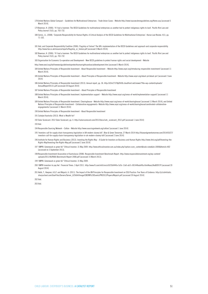- 178 United Nations Global Compact Guidelines for Multinational Enterprises Trade Union Cases Website http://www.tuacoecdmneguidelines.org/Home.asp [accessed 5 March 2014].
- 179 Bowman, H. (2006). 'If I had a hammer: The OECD Guidelines for multinational enterprises as another tool to protect indigenous rights to land'. Pacific Rim Law and Policy Journal 15(3), pp. 703-732.
- 180 Cernic, J.L. (2008). 'Corporate Responsibility for Human Rights: A Critical Analysis of the OECD Guidelines for Multinational Enterprises'. Hanse Law Review. 4(1), pp. 71-102.
- 181 Ibid; and Corporate Responsibility Coalition (2006). Flagship or Failure? The UK's implementation of the OECD Guidelines and approach and corporate responsibility. http://www.foe.co.uk/resource/reports/flagship\_or\_failure.pdf [accessed 5 March 2014].
- 182 Bowman, H. (2006). 'If I had a hammer: The OECD Guidelines for multinational enterprises as another tool to protect indigenous rights to land'. Pacific Rim Law and Policy Journal 15(3), pp. 703-732.
- 183 Organisation for Economic Co-operation and Development New OECD guidelines to protect human rights and social development Website

http://www.oecd.org/daf/newoecdguidelinestoprotecthumanrightsandsocialdevelopment.htm [accessed 5 March 2014].

- 184 United Nations Principles of Responsible Investment About Responsible Investment Website http://www.unpri.org/introducing-responsible-investment/ [accessed 11 March 2014].
- 185 United Nations Principles of Responsible Investment About Principles of Responsible Investment Website http://www.unpri.org/about-pri/about-pri/ [accessed 2 June 2014]
- 186 United Nations Principles of Responsible Investment (2013). Annual report, pp. 36. http://d2m27378y09r06.cloudfront.net/viewer/?file=wp-content/uploads/ AnnualReport20131.pdf [accessed 20 August 2014]

187 United Nations Principles of Responsible Investment – About Principles of Responsible Investment

- 188 United Nations Principles of Responsible Investment. Implementation support Website http://www.unpri.org/areas-of-work/implementation-support/ [accessed 11 March 2014].
- 189 United Nations Principles of Responsible Investment. Clearinghouse Website http://www.unpri.org/areas-of-work/clearinghouse/ [accessed 11 March 2014]; and United Nations Principles of Responsible Investment - Collaborative engagements- Website http://www.unpri.org/areas-of-work/clearinghouse/coordinated-collaborativeengagements/ [accessed 11 March 2014]
- 190 United Nations Principles of Responsible Investment About Responsible Investment
- 191 Catalyst Australia (2013). What is Wealth for?
- 192 Solar Scorecard. 2012 Solar Scorecard, pp. 4. http://solarscorecard.com/2012/docs/svtc\_scorecard\_2012.pdf [accessed 1 June 2014]

193 Ibid.

- 194 Responsible Sourcing Network Cotton Website http://www.sourcingnetwork.org/cotton/ [accessed 1 June 2014]
- 195 'Investors call for supply chain transparency legislation in UK modern slavery bill'. Blue & Green Tomorrow, 27 March 2014 http://blueandgreentomorrow.com/2014/03/27/ investors-call-for-supply-chain-transparency-legislation-in-uk-modern-slavery-bill/ [accessed 2 June 2014]
- 196 Institute for Human Rights and Business (2013). Investing the Rights Way A Guide for Investors on Business and Human Rights http://www.ihrb.org/pdf/Investing-the-Rights-Way/Investing-the-Rights-Way.pdf [accessed 2 June 2014]
- 197 'UNPRI: Greenwash or green fix?' Ethical Investor. 31 May 2009. http://www.ethicalinvestor.com.au/index.php?option=com\_content&task=view&id=3000&Itemid=402 [accessed on 3 September 2013].
- 198 Responsible Investment Association of Australasia (2008). Responsible Investment Benchmark Report. http://www.responsibleinvestment.org/wp-content/ uploads/2011/06/RIAA-Benchmark-Report-2008.pdf [accessed 15 March 2013].
- 199 'UNPRI: Greenwash or green fix?' Ethical Investor. 31 May 2009.
- 200 'UNPRI investors to pay fee'. Financial Times. 3 April 2011. http://www.ft.com/intl/cms/s/0/35bf44fa-5c9c-11e0-ab7c-00144feab49a.html#axzz3AuBCR1Yf [accessed 20 August 2014]
- 201 Hebb, T., Hoepner, A.G.F. and Majoch, A. (2011). The Impact of the UN Principles for Responsible Investment on ESG Practice: Five Years of Evidence. http://p1cdn4static. sharpschool.com/UserFiles/Servers/Server\_625664/Image/CBERN%20Events/PRI2012/Papers/Majoch.pdf [accessed 20 August 2014]

202 Ibid.

203 Ibid.